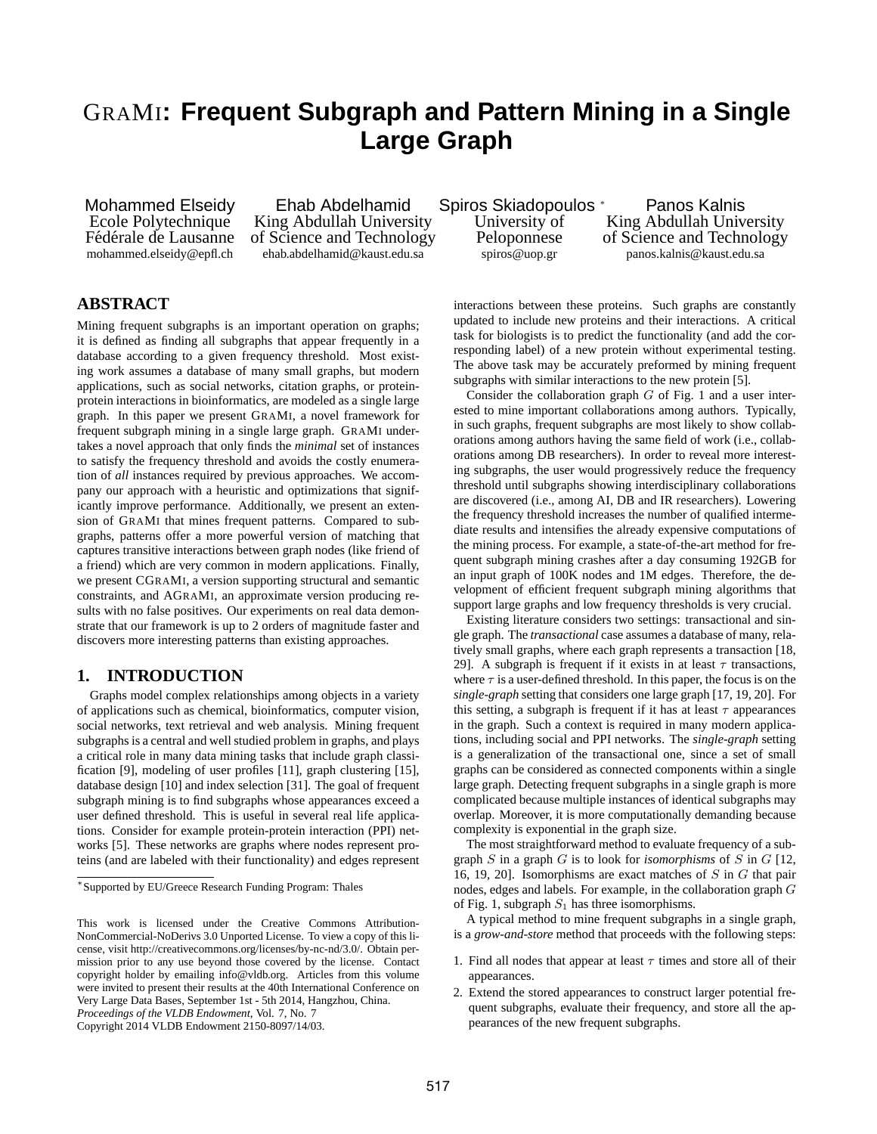# GRAMI**: Frequent Subgraph and Pattern Mining in a Single Large Graph**

Mohammed Elseidy Ehab Abdelhamid Spiros Skiadopoulos <sup>∗</sup> Panos Kalnis Ecole Polytechnique King Abdullah University University of King Abdullah University<br>Fédérale de Lausanne of Science and Technology Peloponnese of Science and Technology mohammed.elseidy@epfl.ch ehab.abdelhamid@kaust.edu.sa spiros@uop.gr panos.kalnis@kaust.edu.sa

of Science and Technology

# **ABSTRACT**

Mining frequent subgraphs is an important operation on graphs; it is defined as finding all subgraphs that appear frequently in a database according to a given frequency threshold. Most existing work assumes a database of many small graphs, but modern applications, such as social networks, citation graphs, or proteinprotein interactions in bioinformatics, are modeled as a single large graph. In this paper we present GRAMI, a novel framework for frequent subgraph mining in a single large graph. GRAMI undertakes a novel approach that only finds the *minimal* set of instances to satisfy the frequency threshold and avoids the costly enumeration of *all* instances required by previous approaches. We accompany our approach with a heuristic and optimizations that significantly improve performance. Additionally, we present an extension of GRAMI that mines frequent patterns. Compared to subgraphs, patterns offer a more powerful version of matching that captures transitive interactions between graph nodes (like friend of a friend) which are very common in modern applications. Finally, we present CGRAMI, a version supporting structural and semantic constraints, and AGRAMI, an approximate version producing results with no false positives. Our experiments on real data demonstrate that our framework is up to 2 orders of magnitude faster and discovers more interesting patterns than existing approaches.

# **1. INTRODUCTION**

Graphs model complex relationships among objects in a variety of applications such as chemical, bioinformatics, computer vision, social networks, text retrieval and web analysis. Mining frequent subgraphs is a central and well studied problem in graphs, and plays a critical role in many data mining tasks that include graph classification [\[9\]](#page-11-0), modeling of user profiles [\[11\]](#page-11-1), graph clustering [\[15\]](#page-11-2), database design [\[10\]](#page-11-3) and index selection [\[31\]](#page-11-4). The goal of frequent subgraph mining is to find subgraphs whose appearances exceed a user defined threshold. This is useful in several real life applications. Consider for example protein-protein interaction (PPI) networks [\[5\]](#page-11-5). These networks are graphs where nodes represent proteins (and are labeled with their functionality) and edges represent

Copyright 2014 VLDB Endowment 2150-8097/14/03.

interactions between these proteins. Such graphs are constantly updated to include new proteins and their interactions. A critical task for biologists is to predict the functionality (and add the corresponding label) of a new protein without experimental testing. The above task may be accurately preformed by mining frequent subgraphs with similar interactions to the new protein [\[5\]](#page-11-5).

Consider the collaboration graph  $G$  of Fig. [1](#page-1-0) and a user interested to mine important collaborations among authors. Typically, in such graphs, frequent subgraphs are most likely to show collaborations among authors having the same field of work (i.e., collaborations among DB researchers). In order to reveal more interesting subgraphs, the user would progressively reduce the frequency threshold until subgraphs showing interdisciplinary collaborations are discovered (i.e., among AI, DB and IR researchers). Lowering the frequency threshold increases the number of qualified intermediate results and intensifies the already expensive computations of the mining process. For example, a state-of-the-art method for frequent subgraph mining crashes after a day consuming 192GB for an input graph of 100K nodes and 1M edges. Therefore, the development of efficient frequent subgraph mining algorithms that support large graphs and low frequency thresholds is very crucial.

Existing literature considers two settings: transactional and single graph. The *transactional* case assumes a database of many, relatively small graphs, where each graph represents a transaction [\[18,](#page-11-6) [29\]](#page-11-7). A subgraph is frequent if it exists in at least  $\tau$  transactions, where  $\tau$  is a user-defined threshold. In this paper, the focus is on the *single-graph* setting that considers one large graph [\[17,](#page-11-8) [19,](#page-11-9) [20\]](#page-11-10). For this setting, a subgraph is frequent if it has at least  $\tau$  appearances in the graph. Such a context is required in many modern applications, including social and PPI networks. The *single-graph* setting is a generalization of the transactional one, since a set of small graphs can be considered as connected components within a single large graph. Detecting frequent subgraphs in a single graph is more complicated because multiple instances of identical subgraphs may overlap. Moreover, it is more computationally demanding because complexity is exponential in the graph size.

The most straightforward method to evaluate frequency of a subgraph S in a graph G is to look for *isomorphisms* of S in G [\[12,](#page-11-11) [16,](#page-11-12) [19,](#page-11-9) [20\]](#page-11-10). Isomorphisms are exact matches of  $S$  in  $G$  that pair nodes, edges and labels. For example, in the collaboration graph G of Fig. [1,](#page-1-0) subgraph  $S_1$  has three isomorphisms.

A typical method to mine frequent subgraphs in a single graph, is a *grow-and-store* method that proceeds with the following steps:

- 1. Find all nodes that appear at least  $\tau$  times and store all of their appearances.
- 2. Extend the stored appearances to construct larger potential frequent subgraphs, evaluate their frequency, and store all the appearances of the new frequent subgraphs.

<sup>∗</sup> Supported by EU/Greece Research Funding Program: Thales

This work is licensed under the Creative Commons Attribution-NonCommercial-NoDerivs 3.0 Unported License. To view a copy of this license, visit http://creativecommons.org/licenses/by-nc-nd/3.0/. Obtain permission prior to any use beyond those covered by the license. Contact copyright holder by emailing info@vldb.org. Articles from this volume were invited to present their results at the 40th International Conference on Very Large Data Bases, September 1st - 5th 2014, Hangzhou, China. *Proceedings of the VLDB Endowment,* Vol. 7, No. 7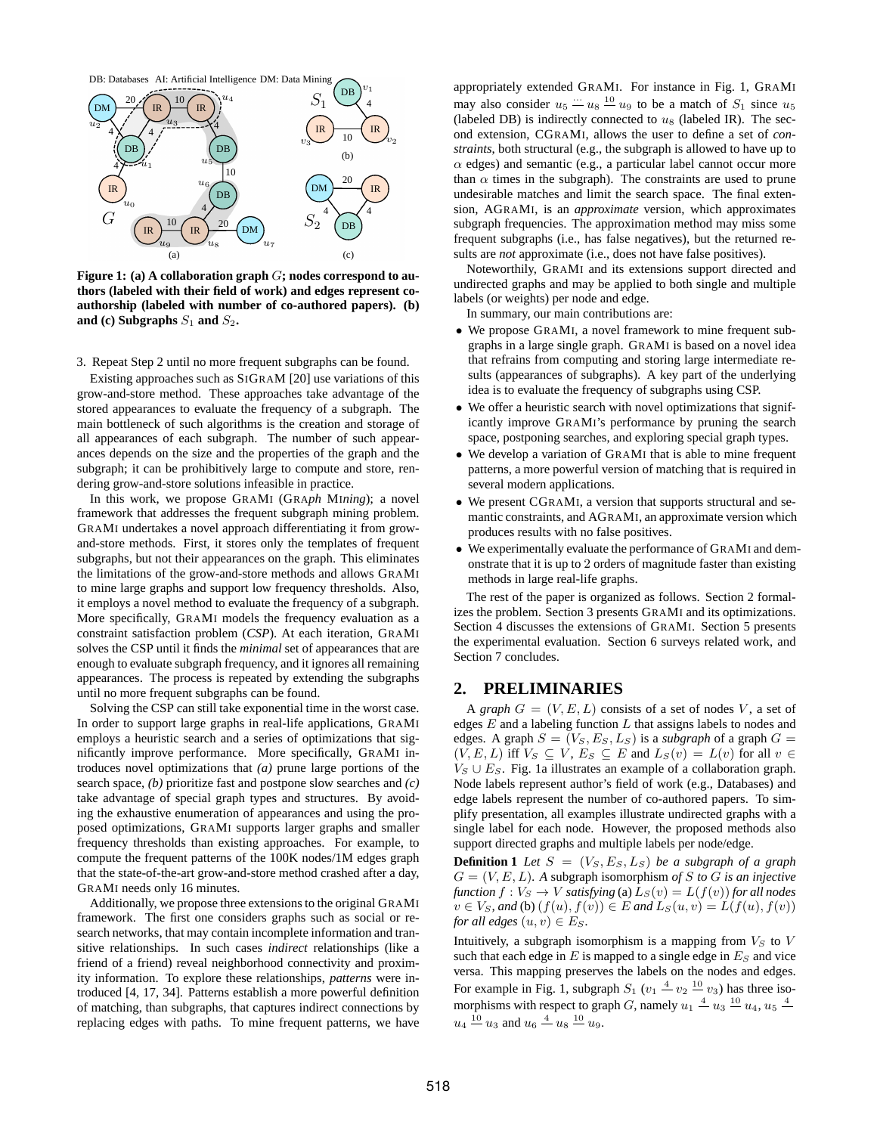

<span id="page-1-0"></span>**Figure 1: (a) A collaboration graph** G**; nodes correspond to authors (labeled with their field of work) and edges represent coauthorship (labeled with number of co-authored papers). (b)** and (c) Subgraphs  $S_1$  and  $S_2$ .

3. Repeat Step 2 until no more frequent subgraphs can be found.

Existing approaches such as SIGRAM [\[20\]](#page-11-10) use variations of this grow-and-store method. These approaches take advantage of the stored appearances to evaluate the frequency of a subgraph. The main bottleneck of such algorithms is the creation and storage of all appearances of each subgraph. The number of such appearances depends on the size and the properties of the graph and the subgraph; it can be prohibitively large to compute and store, rendering grow-and-store solutions infeasible in practice.

In this work, we propose GRAMI (GRA*ph* MI*ning*); a novel framework that addresses the frequent subgraph mining problem. GRAMI undertakes a novel approach differentiating it from growand-store methods. First, it stores only the templates of frequent subgraphs, but not their appearances on the graph. This eliminates the limitations of the grow-and-store methods and allows GRAMI to mine large graphs and support low frequency thresholds. Also, it employs a novel method to evaluate the frequency of a subgraph. More specifically, GRAMI models the frequency evaluation as a constraint satisfaction problem (*CSP*). At each iteration, GRAMI solves the CSP until it finds the *minimal* set of appearances that are enough to evaluate subgraph frequency, and it ignores all remaining appearances. The process is repeated by extending the subgraphs until no more frequent subgraphs can be found.

Solving the CSP can still take exponential time in the worst case. In order to support large graphs in real-life applications, GRAMI employs a heuristic search and a series of optimizations that significantly improve performance. More specifically, GRAMI introduces novel optimizations that *(a)* prune large portions of the search space, *(b)* prioritize fast and postpone slow searches and *(c)* take advantage of special graph types and structures. By avoiding the exhaustive enumeration of appearances and using the proposed optimizations, GRAMI supports larger graphs and smaller frequency thresholds than existing approaches. For example, to compute the frequent patterns of the 100K nodes/1M edges graph that the state-of-the-art grow-and-store method crashed after a day, GRAMI needs only 16 minutes.

Additionally, we propose three extensions to the original GRAMI framework. The first one considers graphs such as social or research networks, that may contain incomplete information and transitive relationships. In such cases *indirect* relationships (like a friend of a friend) reveal neighborhood connectivity and proximity information. To explore these relationships, *patterns* were introduced [\[4,](#page-11-13) [17,](#page-11-8) [34\]](#page-11-14). Patterns establish a more powerful definition of matching, than subgraphs, that captures indirect connections by replacing edges with paths. To mine frequent patterns, we have

appropriately extended GRAMI. For instance in Fig. [1,](#page-1-0) GRAMI may also consider  $u_5 = u_8 \stackrel{10}{=} u_9$  to be a match of  $S_1$  since  $u_5$ (labeled DB) is indirectly connected to  $u_8$  (labeled IR). The second extension, CGRAMI, allows the user to define a set of *constraints*, both structural (e.g., the subgraph is allowed to have up to  $\alpha$  edges) and semantic (e.g., a particular label cannot occur more than  $\alpha$  times in the subgraph). The constraints are used to prune undesirable matches and limit the search space. The final extension, AGRAMI, is an *approximate* version, which approximates subgraph frequencies. The approximation method may miss some frequent subgraphs (i.e., has false negatives), but the returned results are *not* approximate (i.e., does not have false positives).

Noteworthily, GRAMI and its extensions support directed and undirected graphs and may be applied to both single and multiple labels (or weights) per node and edge.

In summary, our main contributions are:

- We propose GRAMI, a novel framework to mine frequent subgraphs in a large single graph. GRAMI is based on a novel idea that refrains from computing and storing large intermediate results (appearances of subgraphs). A key part of the underlying idea is to evaluate the frequency of subgraphs using CSP.
- We offer a heuristic search with novel optimizations that significantly improve GRAMI's performance by pruning the search space, postponing searches, and exploring special graph types.
- We develop a variation of GRAMI that is able to mine frequent patterns, a more powerful version of matching that is required in several modern applications.
- We present CGRAMI, a version that supports structural and semantic constraints, and AGRAMI, an approximate version which produces results with no false positives.
- We experimentally evaluate the performance of GRAMI and demonstrate that it is up to 2 orders of magnitude faster than existing methods in large real-life graphs.

The rest of the paper is organized as follows. Section [2](#page-1-1) formalizes the problem. Section [3](#page-2-0) presents GRAMI and its optimizations. Section [4](#page-6-0) discusses the extensions of GRAMI. Section [5](#page-7-0) presents the experimental evaluation. Section [6](#page-10-0) surveys related work, and Section [7](#page-11-15) concludes.

# <span id="page-1-1"></span>**2. PRELIMINARIES**

A *graph*  $G = (V, E, L)$  consists of a set of nodes V, a set of edges  $E$  and a labeling function  $L$  that assigns labels to nodes and edges. A graph  $S = (V_S, E_S, L_S)$  is a *subgraph* of a graph  $G =$  $(V, E, L)$  iff  $V_S \subseteq V$ ,  $E_S \subseteq E$  and  $L_S(v) = L(v)$  for all  $v \in$  $V_S \cup E_S$ . Fig. [1a](#page-1-0) illustrates an example of a collaboration graph. Node labels represent author's field of work (e.g., Databases) and edge labels represent the number of co-authored papers. To simplify presentation, all examples illustrate undirected graphs with a single label for each node. However, the proposed methods also support directed graphs and multiple labels per node/edge.

<span id="page-1-2"></span>**Definition 1** *Let*  $S = (V_S, E_S, L_S)$  *be a subgraph of a graph*  $G = (V, E, L)$ . A subgraph isomorphism of S to G is an injective *function*  $f: V_S \to V$  *satisfying* (a)  $L_S(v) = L(f(v))$  *for all nodes*  $v \in V_S$ , and (b)  $(f(u), f(v)) \in E$  and  $L_S(u, v) = L(f(u), f(v))$ *for all edges*  $(u, v) \in E_S$ .

Intuitively, a subgraph isomorphism is a mapping from  $V_S$  to  $V$ such that each edge in  $E$  is mapped to a single edge in  $E<sub>S</sub>$  and vice versa. This mapping preserves the labels on the nodes and edges. For example in Fig. [1,](#page-1-0) subgraph  $S_1$  ( $v_1 \stackrel{4}{\sim} v_2 \stackrel{10}{\sim} v_3$ ) has three isomorphisms with respect to graph G, namely  $u_1 \stackrel{4}{\sim} u_3 \stackrel{10}{\sim} u_4$ ,  $u_5 \stackrel{4}{\sim}$  $u_4 \stackrel{10}{=} u_3$  and  $u_6 \stackrel{4}{=} u_8 \stackrel{10}{=} u_9$ .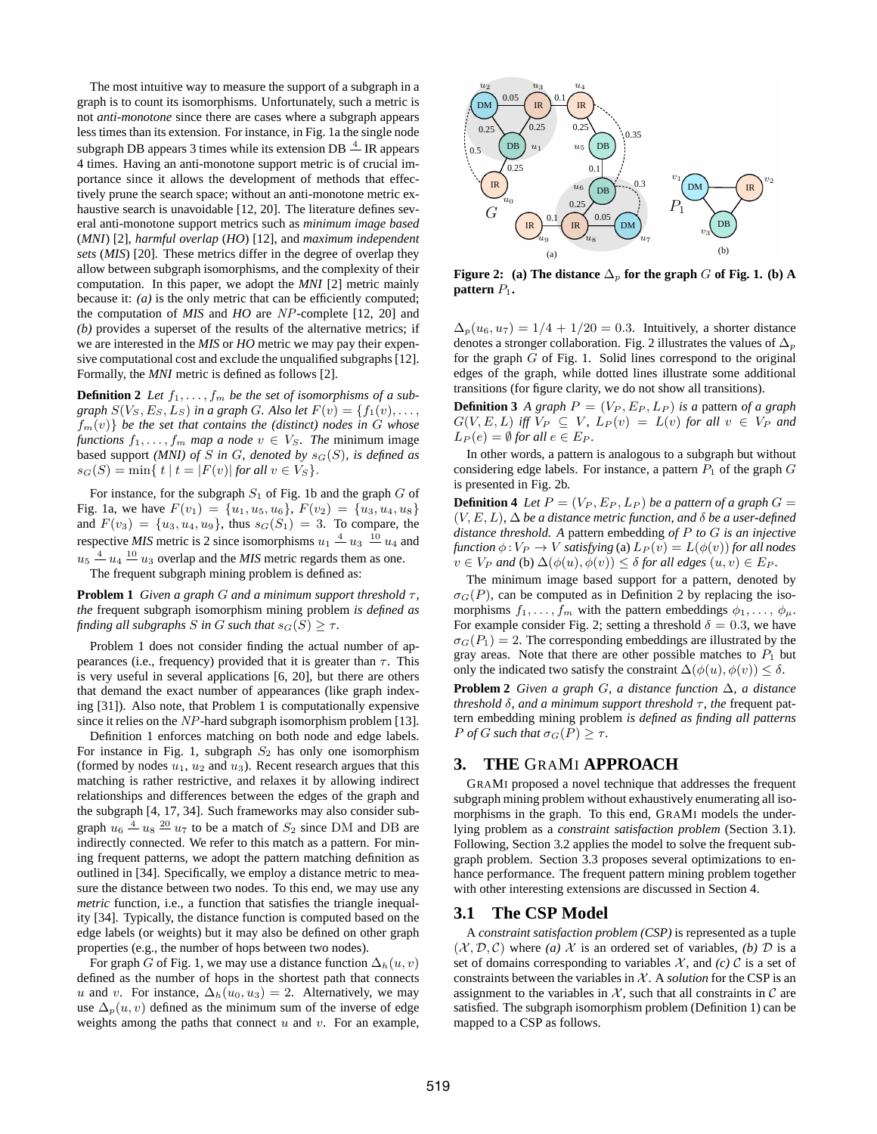The most intuitive way to measure the support of a subgraph in a graph is to count its isomorphisms. Unfortunately, such a metric is not *anti-monotone* since there are cases where a subgraph appears less times than its extension. For instance, in Fig. [1a](#page-1-0) the single node subgraph DB appears 3 times while its extension DB  $\stackrel{4}{\text{---}}$  IR appears 4 times. Having an anti-monotone support metric is of crucial importance since it allows the development of methods that effectively prune the search space; without an anti-monotone metric exhaustive search is unavoidable [\[12,](#page-11-11) [20\]](#page-11-10). The literature defines several anti-monotone support metrics such as *minimum image based* (*MNI*) [\[2\]](#page-11-16), *harmful overlap* (*HO*) [\[12\]](#page-11-11), and *maximum independent sets* (*MIS*) [\[20\]](#page-11-10). These metrics differ in the degree of overlap they allow between subgraph isomorphisms, and the complexity of their computation. In this paper, we adopt the *MNI* [\[2\]](#page-11-16) metric mainly because it: *(a)* is the only metric that can be efficiently computed; the computation of *MIS* and *HO* are NP-complete [\[12,](#page-11-11) [20\]](#page-11-10) and *(b)* provides a superset of the results of the alternative metrics; if we are interested in the *MIS* or *HO* metric we may pay their expensive computational cost and exclude the unqualified subgraphs [\[12\]](#page-11-11). Formally, the *MNI* metric is defined as follows [\[2\]](#page-11-16).

<span id="page-2-3"></span>**Definition 2** Let  $f_1, \ldots, f_m$  be the set of isomorphisms of a sub*graph*  $S(V_S, E_S, L_S)$  *in a graph G. Also let*  $F(v) = \{f_1(v), \ldots, f_k(v)\}$  $f_m(v)$  *be the set that contains the (distinct) nodes in G whose functions*  $f_1, \ldots, f_m$  *map a node*  $v \in V_S$ *. The minimum image* based support *(MNI) of*  $S$  *in*  $G$ *, denoted by*  $s_G(S)$ *, is defined as*  $s_G(S) = \min\{ t | t = |F(v)| \text{ for all } v \in V_S \}.$ 

For instance, for the subgraph  $S_1$  of Fig. [1b](#page-1-0) and the graph  $G$  of Fig. [1a](#page-1-0), we have  $F(v_1) = \{u_1, u_5, u_6\}$ ,  $F(v_2) = \{u_3, u_4, u_8\}$ and  $F(v_3) = \{u_3, u_4, u_9\}$ , thus  $s_G(S_1) = 3$ . To compare, the respective *MIS* metric is 2 since isomorphisms  $u_1 \stackrel{4}{\sim} u_3 \stackrel{10}{\sim} u_4$  and  $u_5 \stackrel{4}{=} u_4 \stackrel{10}{=} u_3$  overlap and the *MIS* metric regards them as one.

The frequent subgraph mining problem is defined as:

**Problem 1** *Given a graph G and a minimum support threshold*  $\tau$ , *the* frequent subgraph isomorphism mining problem *is defined as finding all subgraphs S in G such that*  $s_G(S) \geq \tau$ *.* 

Problem [1](#page-2-1) does not consider finding the actual number of appearances (i.e., frequency) provided that it is greater than  $\tau$ . This is very useful in several applications [\[6,](#page-11-17) [20\]](#page-11-10), but there are others that demand the exact number of appearances (like graph indexing [\[31\]](#page-11-4)). Also note, that Problem [1](#page-2-1) is computationally expensive since it relies on the NP-hard subgraph isomorphism problem [\[13\]](#page-11-18).

Definition [1](#page-1-2) enforces matching on both node and edge labels. For instance in Fig. [1,](#page-1-0) subgraph  $S_2$  has only one isomorphism (formed by nodes  $u_1$ ,  $u_2$  and  $u_3$ ). Recent research argues that this matching is rather restrictive, and relaxes it by allowing indirect relationships and differences between the edges of the graph and the subgraph [\[4,](#page-11-13) [17,](#page-11-8) [34\]](#page-11-14). Such frameworks may also consider subgraph  $u_6 \stackrel{4}{\longrightarrow} u_8 \stackrel{20}{\longrightarrow} u_7$  to be a match of  $S_2$  since DM and DB are indirectly connected. We refer to this match as a pattern. For mining frequent patterns, we adopt the pattern matching definition as outlined in [\[34\]](#page-11-14). Specifically, we employ a distance metric to measure the distance between two nodes. To this end, we may use any *metric* function, i.e., a function that satisfies the triangle inequality [\[34\]](#page-11-14). Typically, the distance function is computed based on the edge labels (or weights) but it may also be defined on other graph properties (e.g., the number of hops between two nodes).

For graph G of Fig. [1,](#page-1-0) we may use a distance function  $\Delta_h(u, v)$ defined as the number of hops in the shortest path that connects u and v. For instance,  $\Delta_h(u_0, u_3) = 2$ . Alternatively, we may use  $\Delta_p(u, v)$  defined as the minimum sum of the inverse of edge weights among the paths that connect  $u$  and  $v$ . For an example,



<span id="page-2-2"></span>**Figure 2:** (a) The distance  $\Delta_p$  for the graph G of Fig. [1.](#page-1-0) (b) A **pattern**  $P_1$ .

 $\Delta_p(u_6, u_7) = 1/4 + 1/20 = 0.3$ . Intuitively, a shorter distance denotes a stronger collaboration. Fig. [2](#page-2-2) illustrates the values of  $\Delta_p$ for the graph  $G$  of Fig. [1.](#page-1-0) Solid lines correspond to the original edges of the graph, while dotted lines illustrate some additional transitions (for figure clarity, we do not show all transitions).

**Definition 3** *A graph*  $P = (V_P, E_P, L_P)$  *is a pattern of a graph*  $G(V, E, L)$  *iff*  $V_P \subseteq V$ ,  $L_P(v) = L(v)$  *for all*  $v \in V_P$  *and*  $L_P(e) = \emptyset$  *for all*  $e \in E_P$ *.* 

In other words, a pattern is analogous to a subgraph but without considering edge labels. For instance, a pattern  $P_1$  of the graph  $G$ is presented in Fig. [2b](#page-2-2).

<span id="page-2-7"></span>**Definition 4** *Let*  $P = (V_P, E_P, L_P)$  *be a pattern of a graph*  $G =$  $(V, E, L)$ ,  $\Delta$  *be a distance metric function, and*  $\delta$  *be a user-defined distance threshold. A* pattern embedding *of* P *to* G *is an injective function*  $\phi: V_P \to V$  *satisfying* (a)  $L_P(v) = L(\phi(v))$  *for all nodes*  $v \in V_P$  *and* (b)  $\Delta(\phi(u), \phi(v)) \leq \delta$  *for all edges*  $(u, v) \in E_P$ *.* 

<span id="page-2-1"></span>The minimum image based support for a pattern, denoted by  $\sigma_G(P)$ , can be computed as in Definition [2](#page-2-3) by replacing the isomorphisms  $f_1, \ldots, f_m$  with the pattern embeddings  $\phi_1, \ldots, \phi_\mu$ . For example consider Fig. [2;](#page-2-2) setting a threshold  $\delta = 0.3$ , we have  $\sigma$ <sub>G</sub>( $P_1$ ) = 2. The corresponding embeddings are illustrated by the gray areas. Note that there are other possible matches to  $P_1$  but only the indicated two satisfy the constraint  $\Delta(\phi(u), \phi(v)) \leq \delta$ .

<span id="page-2-5"></span>**Problem 2** *Given a graph* G*, a distance function* ∆*, a distance threshold*  $\delta$ *, and a minimum support threshold*  $\tau$ *, the* frequent pattern embedding mining problem *is defined as finding all patterns P of G such that*  $\sigma$ <sub>*G*</sub>(*P*)  $\geq \tau$ *.* 

### <span id="page-2-0"></span>**3. THE** GRAMI **APPROACH**

GRAMI proposed a novel technique that addresses the frequent subgraph mining problem without exhaustively enumerating all isomorphisms in the graph. To this end, GRAMI models the underlying problem as a *constraint satisfaction problem* (Section [3.1\)](#page-2-4). Following, Section [3.2](#page-3-0) applies the model to solve the frequent subgraph problem. Section [3.3](#page-4-0) proposes several optimizations to enhance performance. The frequent pattern mining problem together with other interesting extensions are discussed in Section [4.](#page-6-0)

### <span id="page-2-4"></span>**3.1 The CSP Model**

<span id="page-2-6"></span>A *constraint satisfaction problem (CSP)* is represented as a tuple  $(X, \mathcal{D}, \mathcal{C})$  where *(a)* X is an ordered set of variables, *(b)* D is a set of domains corresponding to variables  $\mathcal{X}$ , and *(c)*  $\mathcal{C}$  is a set of constraints between the variables in  $X$ . A *solution* for the CSP is an assignment to the variables in  $X$ , such that all constraints in  $C$  are satisfied. The subgraph isomorphism problem (Definition [1\)](#page-1-2) can be mapped to a CSP as follows.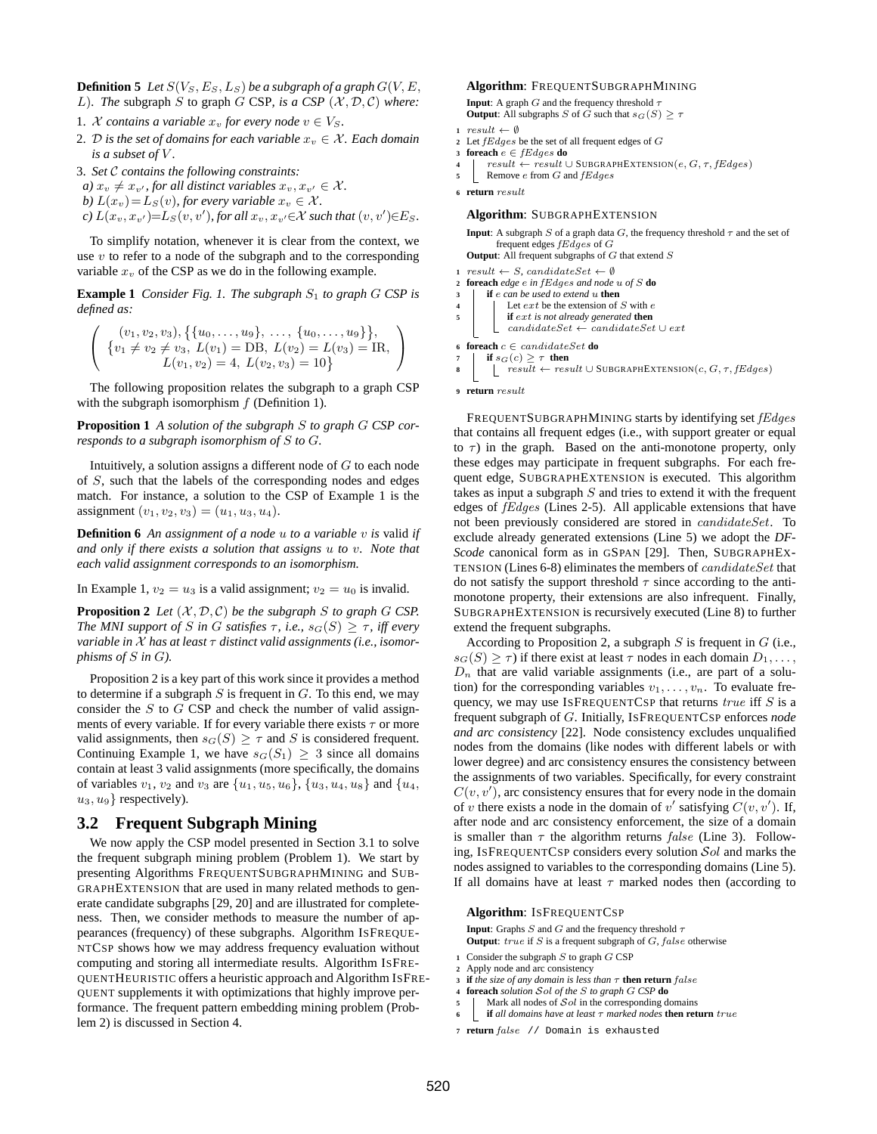**Definition 5** *Let*  $S(V_S, E_S, L_S)$  *be a subgraph of a graph*  $G(V, E,$ 

- L). The subgraph  $S$  to graph  $G$  CSP, is a CSP  $(X, \mathcal{D}, \mathcal{C})$  where:
- 1. *X* contains a variable  $x_v$  for every node  $v \in V_S$ .
- 2. D is the set of domains for each variable  $x_v \in \mathcal{X}$ . Each domain *is a subset of* V *.*
- 3. *Set* C *contains the following constraints:*
- *a)*  $x_v \neq x_{v'}$ , for all distinct variables  $x_v, x_{v'} \in \mathcal{X}$ .
- *b*)  $L(x_v) = L_S(v)$ *, for every variable*  $x_v \in \mathcal{X}$ *.*
- $\chi(c) L(x_v, x_{v'}) = L_S(v, v'),$  for all  $x_v, x_{v'} \in \mathcal{X}$  such that  $(v, v') \in E_S$ .

To simplify notation, whenever it is clear from the context, we use  $v$  to refer to a node of the subgraph and to the corresponding variable  $x_v$  of the CSP as we do in the following example.

<span id="page-3-1"></span>**Example 1** *Consider Fig. [1.](#page-1-0) The subgraph*  $S_1$  *to graph*  $G$  *CSP is defined as:*

$$
\left(\begin{array}{c} (v_1, v_2, v_3), \{u_0, \ldots, u_9\}, \ldots, \{u_0, \ldots, u_9\}, \\ \{v_1 \neq v_2 \neq v_3, L(v_1) = \text{DB}, L(v_2) = L(v_3) = \text{IR}, \\ L(v_1, v_2) = 4, L(v_2, v_3) = 10 \}\end{array}\right)
$$

<span id="page-3-3"></span>The following proposition relates the subgraph to a graph CSP with the subgraph isomorphism  $f$  (Definition [1\)](#page-1-2).

**Proposition 1** *A solution of the subgraph* S *to graph* G *CSP corresponds to a subgraph isomorphism of* S *to* G*.*

Intuitively, a solution assigns a different node of  $G$  to each node of S, such that the labels of the corresponding nodes and edges match. For instance, a solution to the CSP of Example [1](#page-3-1) is the assignment  $(v_1, v_2, v_3) = (u_1, u_3, u_4)$ .

<span id="page-3-10"></span>**Definition 6** *An assignment of a node* u *to a variable* v *is* valid *if and only if there exists a solution that assigns* u *to* v*. Note that each valid assignment corresponds to an isomorphism.*

<span id="page-3-2"></span>In Example [1,](#page-3-1)  $v_2 = u_3$  is a valid assignment;  $v_2 = u_0$  is invalid.

**Proposition 2** *Let*  $(X, D, C)$  *be the subgraph S to graph G CSP*. *The MNI support of* S *in* G *satisfies*  $\tau$ *, i.e.,*  $s_G(S) \geq \tau$ *, iff every variable in* X *has at least* τ *distinct valid assignments (i.e., isomorphisms of* S *in* G*).*

Proposition [2](#page-3-2) is a key part of this work since it provides a method to determine if a subgraph  $S$  is frequent in  $G$ . To this end, we may consider the  $S$  to  $G$  CSP and check the number of valid assignments of every variable. If for every variable there exists  $\tau$  or more valid assignments, then  $s_G(S) \geq \tau$  and S is considered frequent. Continuing Example [1,](#page-3-1) we have  $s_G(S_1) \geq 3$  since all domains contain at least 3 valid assignments (more specifically, the domains of variables  $v_1$ ,  $v_2$  and  $v_3$  are  $\{u_1, u_5, u_6\}$ ,  $\{u_3, u_4, u_8\}$  and  $\{u_4, u_5, u_6\}$  $u_3, u_9$ } respectively).

### <span id="page-3-0"></span>**3.2 Frequent Subgraph Mining**

We now apply the CSP model presented in Section [3.1](#page-2-4) to solve the frequent subgraph mining problem (Problem [1\)](#page-3-3). We start by presenting Algorithms FREQUENTSUBGRAPHMINING and SUB-GRAPHEXTENSION that are used in many related methods to generate candidate subgraphs [\[29,](#page-11-7) [20\]](#page-11-10) and are illustrated for completeness. Then, we consider methods to measure the number of appearances (frequency) of these subgraphs. Algorithm ISFREQUE-NTCSP shows how we may address frequency evaluation without computing and storing all intermediate results. Algorithm ISFRE-QUENTHEURISTIC offers a heuristic approach and Algorithm ISFRE-QUENT supplements it with optimizations that highly improve performance. The frequent pattern embedding mining problem (Problem [2\)](#page-2-5) is discussed in Section [4.](#page-6-0)

### **Algorithm**: FREQUENTSUBGRAPHMINING

**Input**: A graph  $G$  and the frequency threshold  $\tau$ **Output**: All subgraphs S of  $\tilde{G}$  such that  $s_G(S) > \tau$ 

- 1  $result \leftarrow \emptyset$
- **<sup>2</sup>** Let fEdges be the set of all frequent edges of G
- **<sup>3</sup> foreach** e ∈ fEdges **do**
- **4**  $\vec{r}$  result ← result ∪ SUBGRAPHEXTENSION $(e, G, \tau, fEdges)$
- **5** Remove *e* from *G* and *fEdges*

**6 return** result

#### **Algorithm**: SUBGRAPHEXTENSION

**Input**: A subgraph  $S$  of a graph data  $G$ , the frequency threshold  $\tau$  and the set of frequent edges fEdges of G **Output**: All frequent subgraphs of G that extend S

- $result \leftarrow S$ , candidateSet  $\leftarrow \emptyset$
- <span id="page-3-4"></span>**<sup>2</sup> foreach** *edge* e *in* fEdges *and node* u *of* S **do**
- **<sup>3</sup> if** e *can be used to extend* u **then**
- **4** Let  $ext{ext}$  be the extension of S with  $ext{ext}$  if  $ext{ext}$  is not already generated **then**
- **<sup>5</sup> if** ext *is not already generated* **then**
- <span id="page-3-5"></span> $candidateSet \leftarrow candidateSet \cup ext$

```
f if s_G(c) \geq \tau then<br>k result \leftarrow res
                                          \left\{ \right. \left\vert \right. \left\vert \right. \left\vert \right. \left\vert \right. \left\vert \right. \left. \left\vert \right. \left. \right. \left\vert \right. \left. \right. \left\vert \right. \left. \right. \left\vert \right. \left. \left\vert \right. \right. \left. \left\vert \right. \left. \left. \left\vert \right. \right. \left. \right. \left. \left\vert \right. \right. \left. \left. \right. \left. \left\vert \right. \right. \left. \left. \right. \right. \left. \left. \left\vert \right. \right. \left. \right. \left. \left. \right. \left. \left
```
**9 return** result

FREQUENTSUBGRAPHMINING starts by identifying set fEdges that contains all frequent edges (i.e., with support greater or equal to  $\tau$ ) in the graph. Based on the anti-monotone property, only these edges may participate in frequent subgraphs. For each frequent edge, SUBGRAPHEXTENSION is executed. This algorithm takes as input a subgraph  $S$  and tries to extend it with the frequent edges of fEdges (Lines [2-](#page-3-4)[5\)](#page-3-5). All applicable extensions that have not been previously considered are stored in candidateSet. To exclude already generated extensions (Line [5\)](#page-3-5) we adopt the *DF-Scode* canonical form as in GSPAN [\[29\]](#page-11-7). Then, SUBGRAPHEX-TENSION (Lines [6-](#page-3-6)[8\)](#page-3-7) eliminates the members of candidateSet that do not satisfy the support threshold  $\tau$  since according to the antimonotone property, their extensions are also infrequent. Finally, SUBGRAPHEXTENSION is recursively executed (Line [8\)](#page-3-7) to further extend the frequent subgraphs.

According to Proposition [2,](#page-3-2) a subgraph  $S$  is frequent in  $G$  (i.e.,  $s_G(S) > \tau$ ) if there exist at least  $\tau$  nodes in each domain  $D_1, \ldots$ ,  $D_n$  that are valid variable assignments (i.e., are part of a solution) for the corresponding variables  $v_1, \ldots, v_n$ . To evaluate frequency, we may use ISFREQUENTCSP that returns  $true$  iff  $S$  is a frequent subgraph of G. Initially, ISFREQUENTCSP enforces *node and arc consistency* [\[22\]](#page-11-19). Node consistency excludes unqualified nodes from the domains (like nodes with different labels or with lower degree) and arc consistency ensures the consistency between the assignments of two variables. Specifically, for every constraint  $C(v, v')$ , arc consistency ensures that for every node in the domain of v there exists a node in the domain of v' satisfying  $C(v, v')$ . If, after node and arc consistency enforcement, the size of a domain is smaller than  $\tau$  the algorithm returns *false* (Line [3\)](#page-3-8). Following, ISFREQUENTCSP considers every solution Sol and marks the nodes assigned to variables to the corresponding domains (Line [5\)](#page-3-9). If all domains have at least  $\tau$  marked nodes then (according to

#### **Algorithm**: ISFREQUENTCSP

**Input**: Graphs  $S$  and  $G$  and the frequency threshold  $\tau$ **Output**: *true* if S is a frequent subgraph of G, false otherwise

- **<sup>1</sup>** Consider the subgraph S to graph G CSP
- **2** Apply node and arc consistency
- <span id="page-3-8"></span>**<sup>3</sup> if** *the size of any domain is less than* τ **then return** false
- **<sup>4</sup> foreach** *solution* Sol *of the* S *to graph* G *CSP* **do**
- <span id="page-3-9"></span>5 | Mark all nodes of  $Sol$  in the corresponding domains
- **<sup>6</sup> if** *all domains have at least* τ *marked nodes* **then return** true
- **7 return** false // Domain is exhausted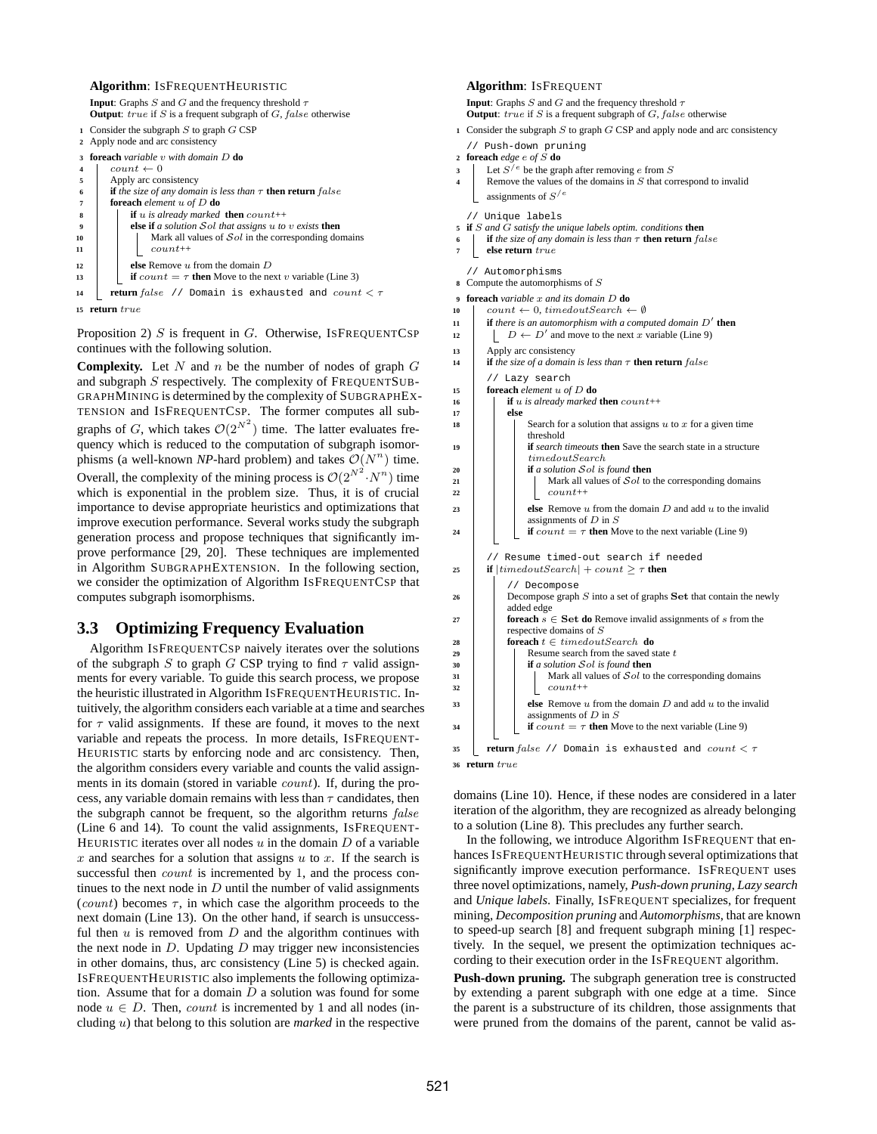### **Algorithm**: ISFREQUENTHEURISTIC

<span id="page-4-4"></span><span id="page-4-2"></span><span id="page-4-1"></span>

|                | <b>Input:</b> Graphs S and G and the frequency threshold $\tau$<br><b>Output:</b> $true$ if S is a frequent subgraph of G, false otherwise |  |  |  |  |  |  |
|----------------|--------------------------------------------------------------------------------------------------------------------------------------------|--|--|--|--|--|--|
|                | 1 Consider the subgraph $S$ to graph $G$ CSP                                                                                               |  |  |  |  |  |  |
|                | 2 Apply node and arc consistency                                                                                                           |  |  |  |  |  |  |
| 3              | <b>foreach</b> variable $v$ with domain $D$ <b>do</b>                                                                                      |  |  |  |  |  |  |
| $\overline{4}$ | $count \leftarrow 0$                                                                                                                       |  |  |  |  |  |  |
| 5              | Apply arc consistency                                                                                                                      |  |  |  |  |  |  |
| 6              | <b>if</b> the size of any domain is less than $\tau$ <b>then return</b> false                                                              |  |  |  |  |  |  |
| 7              | <b>foreach</b> element $u$ of $D$ <b>do</b>                                                                                                |  |  |  |  |  |  |
| 8              | <b>if</b> u is already marked <b>then</b> $count++$                                                                                        |  |  |  |  |  |  |
| 9              | else if a solution $\mathcal{S}$ ol that assigns $u$ to $v$ exists then                                                                    |  |  |  |  |  |  |
| 10             | Mark all values of $\mathcal{S}ol$ in the corresponding domains                                                                            |  |  |  |  |  |  |
| 11             | $count++$                                                                                                                                  |  |  |  |  |  |  |
| 12             | else Remove $u$ from the domain $D$                                                                                                        |  |  |  |  |  |  |
| 13             | <b>if</b> count $= \tau$ then Move to the next v variable (Line 3)                                                                         |  |  |  |  |  |  |
| 14             | <b>return</b> false // Domain is exhausted and $count < \tau$                                                                              |  |  |  |  |  |  |

<span id="page-4-7"></span><span id="page-4-6"></span><span id="page-4-3"></span>**15 return** true

Proposition [2\)](#page-3-2)  $S$  is frequent in  $G$ . Otherwise, ISFREQUENTCSP continues with the following solution.

**Complexity.** Let  $N$  and  $n$  be the number of nodes of graph  $G$ and subgraph S respectively. The complexity of FREQUENTSUB-GRAPHMINING is determined by the complexity of SUBGRAPHEX-TENSION and ISFREQUENTCSP. The former computes all subgraphs of G, which takes  $\mathcal{O}(2^{N^2})$  time. The latter evaluates frequency which is reduced to the computation of subgraph isomorphisms (a well-known *NP*-hard problem) and takes  $\mathcal{O}(N^n)$  time. Overall, the complexity of the mining process is  $\mathcal{O}(2^{N^2} \cdot N^n)$  time which is exponential in the problem size. Thus, it is of crucial importance to devise appropriate heuristics and optimizations that improve execution performance. Several works study the subgraph generation process and propose techniques that significantly improve performance [\[29,](#page-11-7) [20\]](#page-11-10). These techniques are implemented in Algorithm SUBGRAPHEXTENSION. In the following section, we consider the optimization of Algorithm ISFREQUENTCSP that computes subgraph isomorphisms.

### <span id="page-4-0"></span>**3.3 Optimizing Frequency Evaluation**

Algorithm ISFREQUENTCSP naively iterates over the solutions of the subgraph S to graph G CSP trying to find  $\tau$  valid assignments for every variable. To guide this search process, we propose the heuristic illustrated in Algorithm ISFREQUENTHEURISTIC. Intuitively, the algorithm considers each variable at a time and searches for  $\tau$  valid assignments. If these are found, it moves to the next variable and repeats the process. In more details, ISFREQUENT-HEURISTIC starts by enforcing node and arc consistency. Then, the algorithm considers every variable and counts the valid assignments in its domain (stored in variable count). If, during the process, any variable domain remains with less than  $\tau$  candidates, then the subgraph cannot be frequent, so the algorithm returns false (Line [6](#page-4-2) and 14). To count the valid assignments, ISFREQUENT-HEURISTIC iterates over all nodes  $u$  in the domain  $D$  of a variable x and searches for a solution that assigns  $u$  to  $x$ . If the search is successful then *count* is incremented by 1, and the process continues to the next node in  $D$  until the number of valid assignments (count) becomes  $\tau$ , in which case the algorithm proceeds to the next domain (Line [13\)](#page-4-3). On the other hand, if search is unsuccessful then  $u$  is removed from  $D$  and the algorithm continues with the next node in  $D$ . Updating  $D$  may trigger new inconsistencies in other domains, thus, arc consistency (Line [5\)](#page-4-4) is checked again. ISFREQUENTHEURISTIC also implements the following optimization. Assume that for a domain  $D$  a solution was found for some node  $u \in D$ . Then, *count* is incremented by 1 and all nodes (including u) that belong to this solution are *marked* in the respective

#### **Algorithm**: ISFREQUENT

**Input**: Graphs  $S$  and  $G$  and the frequency threshold  $\tau$ **Output**: *true* if S is a frequent subgraph of G, false otherwise

**<sup>1</sup>** Consider the subgraph S to graph G CSP and apply node and arc consistency // Push-down pruning

<span id="page-4-8"></span>**<sup>2</sup> foreach** *edge* e *of* S **do**

- **3** Let  $S^{\prime e}$  be the graph after removing e from S
- <span id="page-4-14"></span><span id="page-4-9"></span>Remove the values of the domains in  $S$  that correspond to invalid assignments of  $S^{e}$

<span id="page-4-15"></span>// Unique labels

- **<sup>5</sup> if** S *and* G *satisfy the unique labels optim. conditions* **then**
- <span id="page-4-17"></span><span id="page-4-16"></span>**if** the size of any domain is less than  $\tau$  **then return** false
- **7 else return** true
- // Automorphisms
- <span id="page-4-18"></span>**<sup>8</sup>** Compute the automorphisms of S
- <span id="page-4-5"></span>**<sup>9</sup> foreach** *variable* x *and its domain* D **do**
- **10** count  $\leftarrow 0$ , timedoutSearch  $\leftarrow \emptyset$
- **<sup>11</sup> if** *there is an automorphism with a computed domain* D′ **then**
- 12  $\vert$   $\vert$   $D \leftarrow D'$  and move to the next x variable (Line [9\)](#page-4-5)
- **13** Apply arc consistency
- **<sup>14</sup> if** *the size of a domain is less than* τ **then return** false // Lazy search

<span id="page-4-21"></span>**<sup>15</sup> foreach** *element* u *of* D **do <sup>16</sup> if** u *is already marked* **then** count++

<span id="page-4-12"></span>

| 17 | else                                                                                                                |
|----|---------------------------------------------------------------------------------------------------------------------|
| 18 | Search for a solution that assigns $u$ to $x$ for a given time<br>threshold                                         |
| 19 | <b>if</b> search timeouts <b>then</b> Save the search state in a structure<br>time doubtSearch                      |
| 20 | if a solution $Sol$ is found then                                                                                   |
| 21 | Mark all values of $\mathcal{S}ol$ to the corresponding domains                                                     |
| 22 | $count++$                                                                                                           |
| 23 | else Remove $u$ from the domain $D$ and add $u$ to the invalid<br>assignments of $D$ in $S$                         |
| 24 | <b>if</b> count $= \tau$ then Move to the next variable (Line 9)                                                    |
| 25 | // Resume timed-out search if needed<br><b>if</b> $ $ <i>timedoutSearch</i> $ $ + <i>count</i> > $\tau$ <b>then</b> |
|    | Decompose                                                                                                           |

<span id="page-4-25"></span><span id="page-4-24"></span><span id="page-4-23"></span><span id="page-4-22"></span><span id="page-4-19"></span><span id="page-4-13"></span><span id="page-4-10"></span>

| 26 | Decompose graph $S$ into a set of graphs $S$ et that contain the newly                      |
|----|---------------------------------------------------------------------------------------------|
|    | added edge                                                                                  |
| 27 | <b>foreach</b> $s \in$ Set <b>do</b> Remove invalid assignments of s from the               |
|    | respective domains of S                                                                     |
| 28 | <b>foreach</b> $t \in$ timedout Search <b>do</b>                                            |
| 29 | Resume search from the saved state t                                                        |
| 30 | <b>if</b> a solution $\mathcal{S}$ <i>ol</i> is found <b>then</b>                           |
| 31 | Mark all values of $\mathcal{S}ol$ to the corresponding domains                             |
| 32 | $count++$                                                                                   |
| 33 | else Remove $u$ from the domain $D$ and add $u$ to the invalid<br>assignments of $D$ in $S$ |
| 34 | <b>if</b> $count = \tau$ then Move to the next variable (Line 9)                            |
| 35 | <b>return</b> false // Domain is exhausted and $count < \tau$                               |

<span id="page-4-20"></span><span id="page-4-11"></span>**36 return** true

domains (Line [10\)](#page-4-6). Hence, if these nodes are considered in a later iteration of the algorithm, they are recognized as already belonging to a solution (Line [8\)](#page-4-7). This precludes any further search.

In the following, we introduce Algorithm ISFREQUENT that enhances ISFREQUENTHEURISTIC through several optimizations that significantly improve execution performance. ISFREQUENT uses three novel optimizations, namely, *Push-down pruning*, *Lazy search* and *Unique labels*. Finally, ISFREQUENT specializes, for frequent mining, *Decomposition pruning* and *Automorphisms*, that are known to speed-up search [\[8\]](#page-11-20) and frequent subgraph mining [\[1\]](#page-11-21) respectively. In the sequel, we present the optimization techniques according to their execution order in the ISFREQUENT algorithm.

**Push-down pruning.** The subgraph generation tree is constructed by extending a parent subgraph with one edge at a time. Since the parent is a substructure of its children, those assignments that were pruned from the domains of the parent, cannot be valid as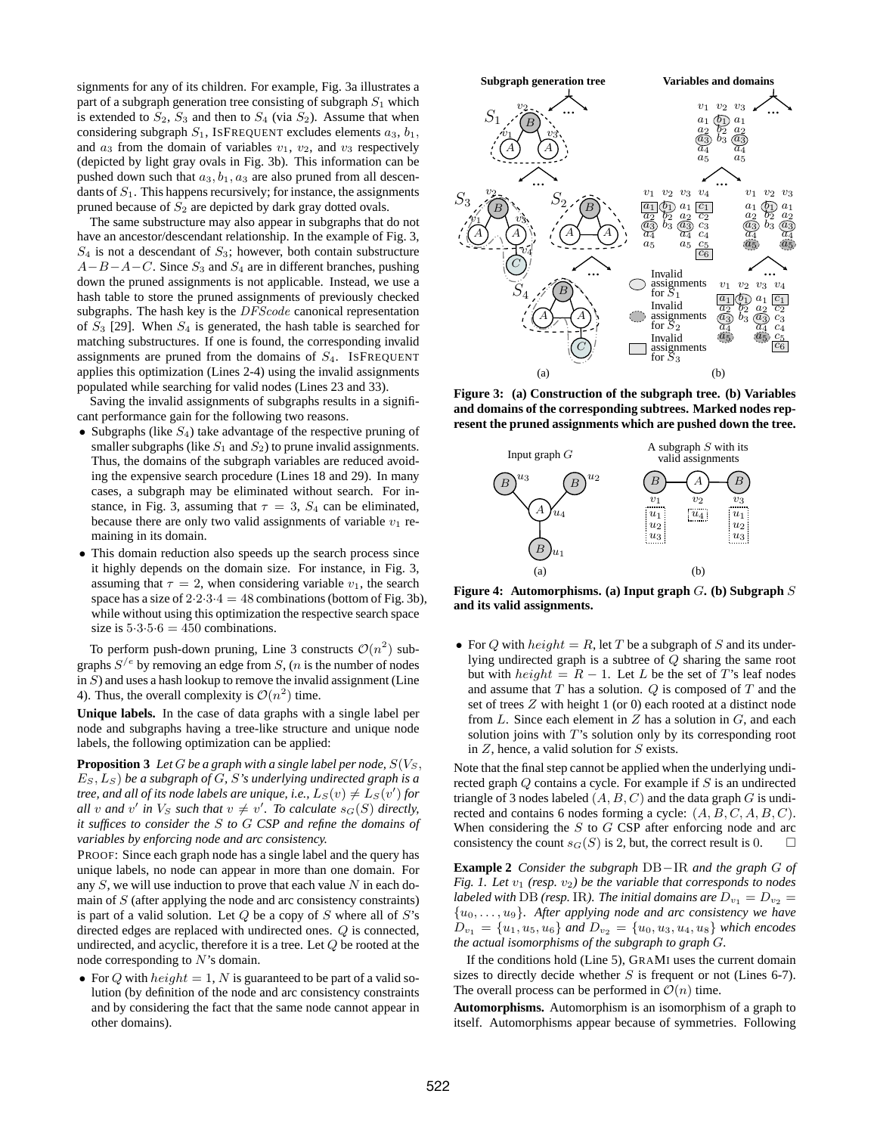signments for any of its children. For example, Fig. [3a](#page-5-0) illustrates a part of a subgraph generation tree consisting of subgraph  $S_1$  which is extended to  $S_2$ ,  $S_3$  and then to  $S_4$  (via  $S_2$ ). Assume that when considering subgraph  $S_1$ , ISFREQUENT excludes elements  $a_3$ ,  $b_1$ , and  $a_3$  from the domain of variables  $v_1$ ,  $v_2$ , and  $v_3$  respectively (depicted by light gray ovals in Fig. [3b](#page-5-0)). This information can be pushed down such that  $a_3, b_1, a_3$  are also pruned from all descendants of  $S_1$ . This happens recursively; for instance, the assignments pruned because of  $S_2$  are depicted by dark gray dotted ovals.

The same substructure may also appear in subgraphs that do not have an ancestor/descendant relationship. In the example of Fig. [3,](#page-5-0)  $S_4$  is not a descendant of  $S_3$ ; however, both contain substructure  $A-B-A-C$ . Since  $S_3$  and  $S_4$  are in different branches, pushing down the pruned assignments is not applicable. Instead, we use a hash table to store the pruned assignments of previously checked subgraphs. The hash key is the DFScode canonical representation of  $S_3$  [\[29\]](#page-11-7). When  $S_4$  is generated, the hash table is searched for matching substructures. If one is found, the corresponding invalid assignments are pruned from the domains of  $S<sub>4</sub>$ . ISFREQUENT applies this optimization (Lines [2](#page-4-8)[-4\)](#page-4-9) using the invalid assignments populated while searching for valid nodes (Lines [23](#page-4-10) and [33\)](#page-4-11).

Saving the invalid assignments of subgraphs results in a significant performance gain for the following two reasons.

- Subgraphs (like  $S_4$ ) take advantage of the respective pruning of smaller subgraphs (like  $S_1$  and  $S_2$ ) to prune invalid assignments. Thus, the domains of the subgraph variables are reduced avoiding the expensive search procedure (Lines [18](#page-4-12) and [29\)](#page-4-13). In many cases, a subgraph may be eliminated without search. For in-stance, in Fig. [3,](#page-5-0) assuming that  $\tau = 3$ ,  $S_4$  can be eliminated, because there are only two valid assignments of variable  $v_1$  remaining in its domain.
- This domain reduction also speeds up the search process since it highly depends on the domain size. For instance, in Fig. [3,](#page-5-0) assuming that  $\tau = 2$ , when considering variable  $v_1$ , the search space has a size of  $2.2.3.4 = 48$  combinations (bottom of Fig. [3b](#page-5-0)), while without using this optimization the respective search space size is  $5.3.5.6 = 450$  combinations.

To perform push-down pruning, Line [3](#page-4-14) constructs  $\mathcal{O}(n^2)$  subgraphs  $S^{e}$  by removing an edge from S, (*n* is the number of nodes in  $S$ ) and uses a hash lookup to remove the invalid assignment (Line 4). Thus, the overall complexity is  $\mathcal{O}(n^2)$  time.

**Unique labels.** In the case of data graphs with a single label per node and subgraphs having a tree-like structure and unique node labels, the following optimization can be applied:

**Proposition 3** Let  $G$  be a graph with a single label per node,  $S(V_S,$ ES, LS) *be a subgraph of* G*,* S*'s underlying undirected graph is a tree, and all of its node labels are unique, i.e.,*  $L_S(v) \neq L_S(v')$  for *all* v and v' in  $V_S$  such that  $v \neq v'$ . To calculate  $s_G(S)$  directly, *it suffices to consider the* S *to* G *CSP and refine the domains of variables by enforcing node and arc consistency.*

PROOF: Since each graph node has a single label and the query has unique labels, no node can appear in more than one domain. For any  $S$ , we will use induction to prove that each value  $N$  in each domain of  $S$  (after applying the node and arc consistency constraints) is part of a valid solution. Let  $Q$  be a copy of  $S$  where all of  $S$ 's directed edges are replaced with undirected ones. Q is connected, undirected, and acyclic, therefore it is a tree. Let  $Q$  be rooted at the node corresponding to N's domain.

• For Q with  $height = 1$ , N is guaranteed to be part of a valid solution (by definition of the node and arc consistency constraints and by considering the fact that the same node cannot appear in other domains).



**Figure 3: (a) Construction of the subgraph tree. (b) Variables and domains of the corresponding subtrees. Marked nodes represent the pruned assignments which are pushed down the tree.**

<span id="page-5-0"></span>

<span id="page-5-1"></span>**Figure 4: Automorphisms. (a) Input graph** G**. (b) Subgraph** S **and its valid assignments.**

• For Q with  $height = R$ , let T be a subgraph of S and its underlying undirected graph is a subtree of Q sharing the same root but with  $height = R - 1$ . Let L be the set of T's leaf nodes and assume that  $T$  has a solution.  $Q$  is composed of  $T$  and the set of trees Z with height 1 (or 0) each rooted at a distinct node from  $L$ . Since each element in  $Z$  has a solution in  $G$ , and each solution joins with  $T$ 's solution only by its corresponding root in  $Z$ , hence, a valid solution for  $S$  exists.

Note that the final step cannot be applied when the underlying undirected graph  $Q$  contains a cycle. For example if  $S$  is an undirected triangle of 3 nodes labeled  $(A, B, C)$  and the data graph G is undirected and contains 6 nodes forming a cycle:  $(A, B, C, A, B, C)$ . When considering the  $S$  to  $G$  CSP after enforcing node and arc consistency the count  $s_G(S)$  is 2, but, the correct result is 0.

**Example 2** *Consider the subgraph* DB−IR *and the graph* G *of Fig.* [1.](#page-1-0) Let  $v_1$  (resp.  $v_2$ ) be the variable that corresponds to nodes *labeled with* DB *(resp. IR). The initial domains are*  $D_{v_1} = D_{v_2}$ {u0, . . . , u9}*. After applying node and arc consistency we have*  $D_{v_1} = \{u_1, u_5, u_6\}$  and  $D_{v_2} = \{u_0, u_3, u_4, u_8\}$  which encodes *the actual isomorphisms of the subgraph to graph* G*.*

If the conditions hold (Line [5\)](#page-4-15), GRAMI uses the current domain sizes to directly decide whether  $S$  is frequent or not (Lines [6](#page-4-16)[-7\)](#page-4-17). The overall process can be performed in  $\mathcal{O}(n)$  time.

**Automorphisms.** Automorphism is an isomorphism of a graph to itself. Automorphisms appear because of symmetries. Following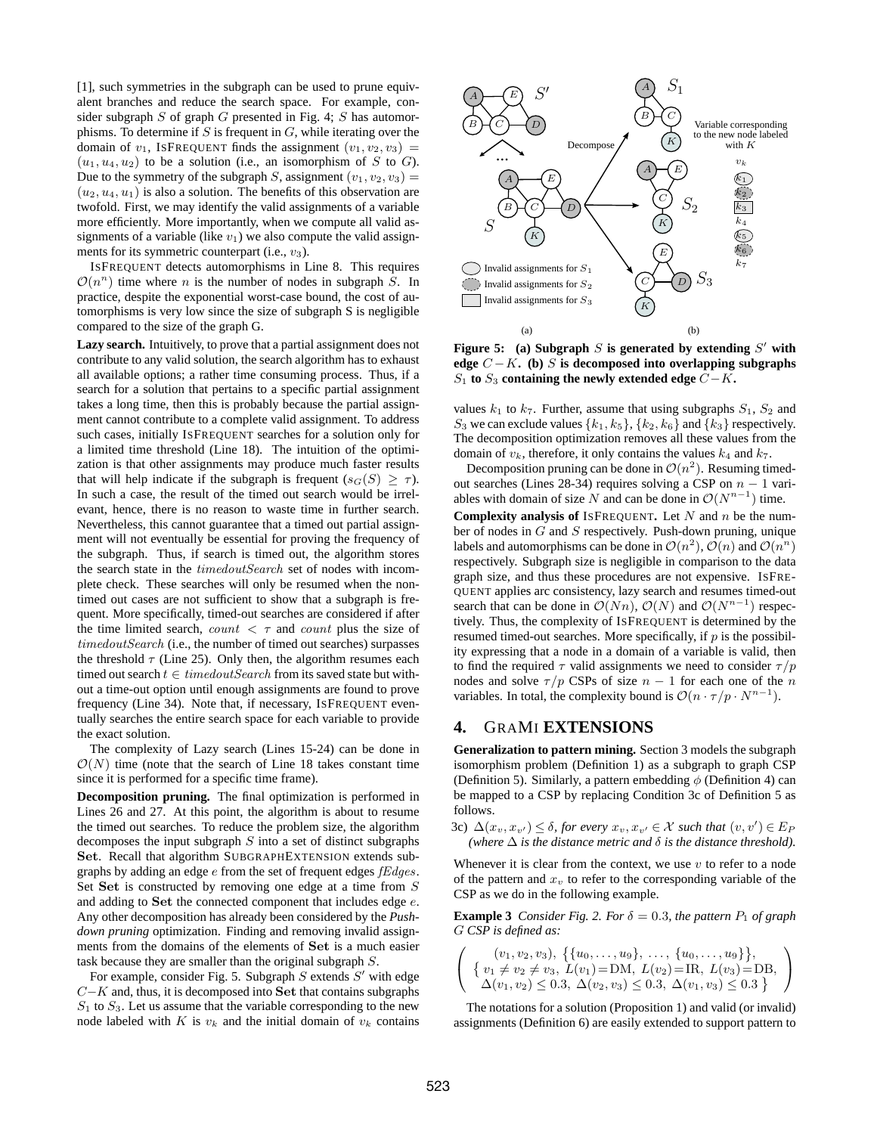[\[1\]](#page-11-21), such symmetries in the subgraph can be used to prune equivalent branches and reduce the search space. For example, consider subgraph  $S$  of graph  $G$  presented in Fig. [4;](#page-5-1)  $S$  has automorphisms. To determine if  $S$  is frequent in  $G$ , while iterating over the domain of  $v_1$ , ISFREQUENT finds the assignment  $(v_1, v_2, v_3)$  =  $(u_1, u_4, u_2)$  to be a solution (i.e., an isomorphism of S to G). Due to the symmetry of the subgraph S, assignment  $(v_1, v_2, v_3)$  =  $(u_2, u_4, u_1)$  is also a solution. The benefits of this observation are twofold. First, we may identify the valid assignments of a variable more efficiently. More importantly, when we compute all valid assignments of a variable (like  $v_1$ ) we also compute the valid assignments for its symmetric counterpart (i.e.,  $v_3$ ).

ISFREQUENT detects automorphisms in Line [8.](#page-4-18) This requires  $\mathcal{O}(n^n)$  time where n is the number of nodes in subgraph S. In practice, despite the exponential worst-case bound, the cost of automorphisms is very low since the size of subgraph S is negligible compared to the size of the graph G.

**Lazy search.** Intuitively, to prove that a partial assignment does not contribute to any valid solution, the search algorithm has to exhaust all available options; a rather time consuming process. Thus, if a search for a solution that pertains to a specific partial assignment takes a long time, then this is probably because the partial assignment cannot contribute to a complete valid assignment. To address such cases, initially ISFREQUENT searches for a solution only for a limited time threshold (Line [18\)](#page-4-12). The intuition of the optimization is that other assignments may produce much faster results that will help indicate if the subgraph is frequent ( $s_G(S) \geq \tau$ ). In such a case, the result of the timed out search would be irrelevant, hence, there is no reason to waste time in further search. Nevertheless, this cannot guarantee that a timed out partial assignment will not eventually be essential for proving the frequency of the subgraph. Thus, if search is timed out, the algorithm stores the search state in the *timedoutSearch* set of nodes with incomplete check. These searches will only be resumed when the nontimed out cases are not sufficient to show that a subgraph is frequent. More specifically, timed-out searches are considered if after the time limited search, count  $\langle \tau \rangle$  and count plus the size of timedoutSearch (i.e., the number of timed out searches) surpasses the threshold  $\tau$  (Line [25\)](#page-4-19). Only then, the algorithm resumes each timed out search  $t \in \mathit{timedoutSearch}$  from its saved state but without a time-out option until enough assignments are found to prove frequency (Line [34\)](#page-4-20). Note that, if necessary, ISFREQUENT eventually searches the entire search space for each variable to provide the exact solution.

The complexity of Lazy search (Lines [15](#page-4-21)[-24\)](#page-4-22) can be done in  $\mathcal{O}(N)$  time (note that the search of Line [18](#page-4-12) takes constant time since it is performed for a specific time frame).

**Decomposition pruning.** The final optimization is performed in Lines [26](#page-4-23) and [27.](#page-4-24) At this point, the algorithm is about to resume the timed out searches. To reduce the problem size, the algorithm decomposes the input subgraph  $S$  into a set of distinct subgraphs Set. Recall that algorithm SUBGRAPHEXTENSION extends subgraphs by adding an edge e from the set of frequent edges fEdges. Set Set is constructed by removing one edge at a time from S and adding to Set the connected component that includes edge e. Any other decomposition has already been considered by the *Pushdown pruning* optimization. Finding and removing invalid assignments from the domains of the elements of Set is a much easier task because they are smaller than the original subgraph S.

For example, consider Fig. [5.](#page-6-1) Subgraph  $S$  extends  $S'$  with edge C−K and, thus, it is decomposed into Set that contains subgraphs  $S_1$  to  $S_3$ . Let us assume that the variable corresponding to the new node labeled with K is  $v_k$  and the initial domain of  $v_k$  contains



<span id="page-6-1"></span>Figure 5: (a) Subgraph  $S$  is generated by extending  $S'$  with edge  $C - K$ . (b) S is decomposed into overlapping subgraphs S<sup>1</sup> **to** S<sup>3</sup> **containing the newly extended edge** C−K**.**

values  $k_1$  to  $k_7$ . Further, assume that using subgraphs  $S_1$ ,  $S_2$  and  $S_3$  we can exclude values  $\{k_1, k_5\}$ ,  $\{k_2, k_6\}$  and  $\{k_3\}$  respectively. The decomposition optimization removes all these values from the domain of  $v_k$ , therefore, it only contains the values  $k_4$  and  $k_7$ .

Decomposition pruning can be done in  $\mathcal{O}(n^2)$ . Resuming timed-out searches (Lines [28-](#page-4-25)[34\)](#page-4-20) requires solving a CSP on  $n - 1$  variables with domain of size N and can be done in  $\mathcal{O}(N^{n-1})$  time.

**Complexity analysis of** ISFREQUENT**.** Let N and n be the number of nodes in G and S respectively. Push-down pruning, unique labels and automorphisms can be done in  $\mathcal{O}(n^2)$ ,  $\mathcal{O}(n)$  and  $\mathcal{O}(n^n)$ respectively. Subgraph size is negligible in comparison to the data graph size, and thus these procedures are not expensive. ISFRE-QUENT applies arc consistency, lazy search and resumes timed-out search that can be done in  $\mathcal{O}(Nn)$ ,  $\mathcal{O}(N)$  and  $\mathcal{O}(N^{n-1})$  respectively. Thus, the complexity of ISFREQUENT is determined by the resumed timed-out searches. More specifically, if  $p$  is the possibility expressing that a node in a domain of a variable is valid, then to find the required  $\tau$  valid assignments we need to consider  $\tau/p$ nodes and solve  $\tau / p$  CSPs of size  $n - 1$  for each one of the n variables. In total, the complexity bound is  $\mathcal{O}(n \cdot \tau / p \cdot N^{n-1})$ .

# <span id="page-6-0"></span>**4.** GRAMI **EXTENSIONS**

**Generalization to pattern mining.** Section [3](#page-2-0) models the subgraph isomorphism problem (Definition [1\)](#page-1-2) as a subgraph to graph CSP (Definition [5\)](#page-2-6). Similarly, a pattern embedding  $\phi$  (Definition [4\)](#page-2-7) can be mapped to a CSP by replacing Condition 3c of Definition [5](#page-2-6) as follows.

3c)  $\Delta(x_v, x_{v'}) \leq \delta$ , for every  $x_v, x_{v'} \in \mathcal{X}$  such that  $(v, v') \in E_F$ *(where*  $\Delta$  *is the distance metric and*  $\delta$  *is the distance threshold*).

Whenever it is clear from the context, we use  $v$  to refer to a node of the pattern and  $x<sub>v</sub>$  to refer to the corresponding variable of the CSP as we do in the following example.

<span id="page-6-2"></span>**Example 3** *Consider Fig.* 2*. For*  $\delta = 0.3$ *, the pattern*  $P_1$  *of graph* G *CSP is defined as:*

$$
\left(\begin{array}{c} (v_1, v_2, v_3), \ \{u_0, \ldots, u_9\}, \ \ldots, \{u_0, \ldots, u_9\}\},\\ \{v_1 \neq v_2 \neq v_3, \ L(v_1) = \text{DM}, \ L(v_2) = \text{IR}, \ L(v_3) = \text{DB},\\ \Delta(v_1, v_2) \leq 0.3, \ \Delta(v_2, v_3) \leq 0.3, \ \Delta(v_1, v_3) \leq 0.3 \end{array}\right)
$$

The notations for a solution (Proposition [1\)](#page-3-3) and valid (or invalid) assignments (Definition [6\)](#page-3-10) are easily extended to support pattern to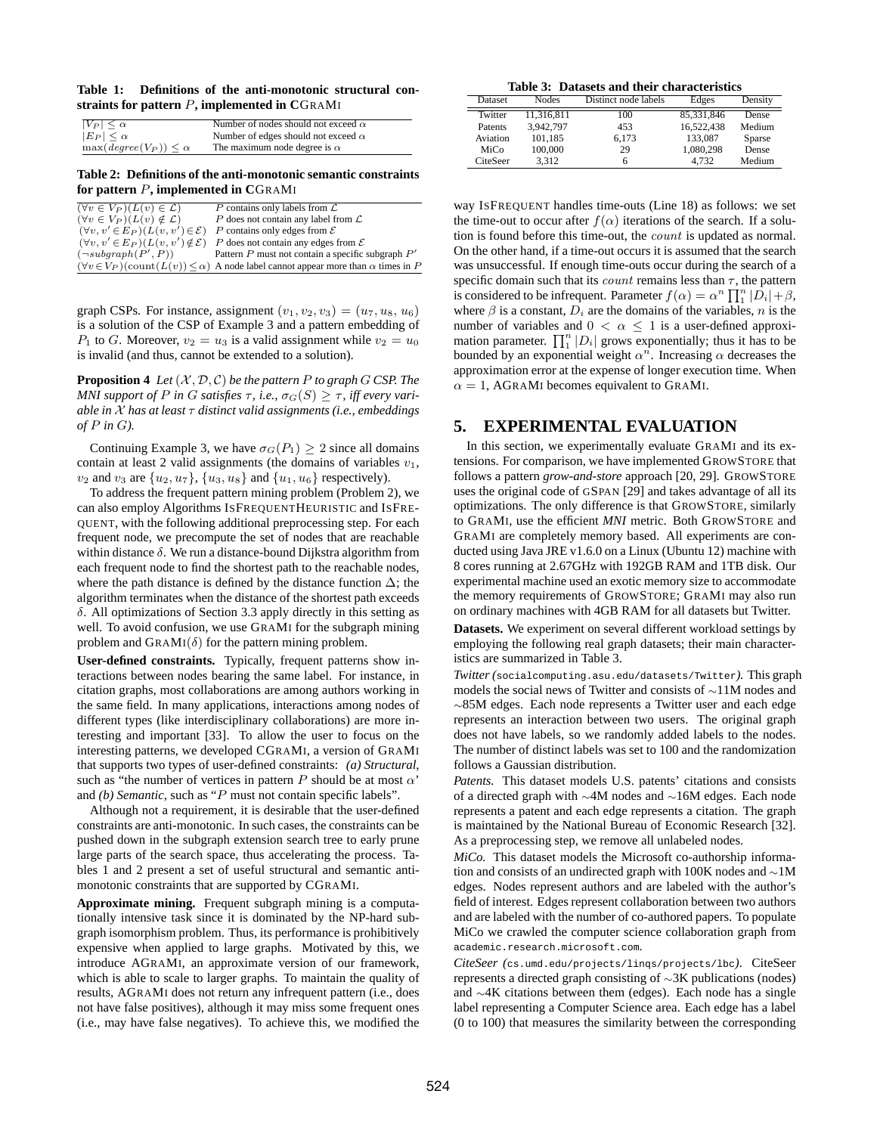<span id="page-7-1"></span>**Table 1: Definitions of the anti-monotonic structural constraints for pattern** P**, implemented in C**GRAMI

| $ V_P  \leq \alpha$                    | Number of nodes should not exceed $\alpha$ |
|----------------------------------------|--------------------------------------------|
| $ E_P  \leq \alpha$                    | Number of edges should not exceed $\alpha$ |
| $\max(\text{degree}(V_P)) \leq \alpha$ | The maximum node degree is $\alpha$        |

<span id="page-7-2"></span>**Table 2: Definitions of the anti-monotonic semantic constraints for pattern** P**, implemented in C**GRAMI

| $(\forall v \in V_P)(L(v) \in \mathcal{L})$                                                  | P contains only labels from $\mathcal L$                                                                       |
|----------------------------------------------------------------------------------------------|----------------------------------------------------------------------------------------------------------------|
| $(\forall v \in V_P)(L(v) \notin \mathcal{L})$                                               | P does not contain any label from $\mathcal L$                                                                 |
| $(\forall v, v' \in E_P)(L(v, v') \in \mathcal{E})$ P contains only edges from $\mathcal{E}$ |                                                                                                                |
|                                                                                              | $(\forall v, v' \in E_P)(L(v, v') \notin \mathcal{E})$ P does not contain any edges from $\mathcal E$          |
| $(\neg subgraph(P', P))$                                                                     | Pattern $P$ must not contain a specific subgraph $P'$                                                          |
|                                                                                              | $(\forall v \in V_P)(\text{count}(L(v)) \leq \alpha)$ A node label cannot appear more than $\alpha$ times in F |

graph CSPs. For instance, assignment  $(v_1, v_2, v_3) = (u_7, u_8, u_6)$ is a solution of the CSP of Example [3](#page-6-2) and a pattern embedding of  $P_1$  to G. Moreover,  $v_2 = u_3$  is a valid assignment while  $v_2 = u_0$ is invalid (and thus, cannot be extended to a solution).

**Proposition 4** *Let*  $(X, D, C)$  *be the pattern P to graph G CSP. The MNI support of P in G satisfies*  $\tau$ *, i.e.,*  $\sigma$ <sub>*G*</sub>(*S*)  $\geq \tau$ *, iff every variable in* X *has at least* τ *distinct valid assignments (i.e., embeddings of* P *in* G*).*

Continuing Example [3,](#page-6-2) we have  $\sigma_G(P_1) \geq 2$  since all domains contain at least 2 valid assignments (the domains of variables  $v_1$ ,  $v_2$  and  $v_3$  are  $\{u_2, u_7\}$ ,  $\{u_3, u_8\}$  and  $\{u_1, u_6\}$  respectively).

To address the frequent pattern mining problem (Problem [2\)](#page-2-5), we can also employ Algorithms ISFREQUENTHEURISTIC and ISFRE-QUENT, with the following additional preprocessing step. For each frequent node, we precompute the set of nodes that are reachable within distance  $\delta$ . We run a distance-bound Dijkstra algorithm from each frequent node to find the shortest path to the reachable nodes, where the path distance is defined by the distance function  $\Delta$ ; the algorithm terminates when the distance of the shortest path exceeds δ. All optimizations of Section [3.3](#page-4-0) apply directly in this setting as well. To avoid confusion, we use GRAMI for the subgraph mining problem and  $\text{GRAMI}(\delta)$  for the pattern mining problem.

**User-defined constraints.** Typically, frequent patterns show interactions between nodes bearing the same label. For instance, in citation graphs, most collaborations are among authors working in the same field. In many applications, interactions among nodes of different types (like interdisciplinary collaborations) are more interesting and important [\[33\]](#page-11-22). To allow the user to focus on the interesting patterns, we developed CGRAMI, a version of GRAMI that supports two types of user-defined constraints: *(a) Structural*, such as "the number of vertices in pattern  $P$  should be at most  $\alpha$ " and *(b) Semantic*, such as "P must not contain specific labels".

Although not a requirement, it is desirable that the user-defined constraints are anti-monotonic. In such cases, the constraints can be pushed down in the subgraph extension search tree to early prune large parts of the search space, thus accelerating the process. Tables [1](#page-7-1) and [2](#page-7-2) present a set of useful structural and semantic antimonotonic constraints that are supported by CGRAMI.

**Approximate mining.** Frequent subgraph mining is a computationally intensive task since it is dominated by the NP-hard subgraph isomorphism problem. Thus, its performance is prohibitively expensive when applied to large graphs. Motivated by this, we introduce AGRAMI, an approximate version of our framework, which is able to scale to larger graphs. To maintain the quality of results, AGRAMI does not return any infrequent pattern (i.e., does not have false positives), although it may miss some frequent ones (i.e., may have false negatives). To achieve this, we modified the

<span id="page-7-3"></span>**Table 3: Datasets and their characteristics**

| Dataset         | <b>Nodes</b> | Distinct node labels | Edges      | Density       |
|-----------------|--------------|----------------------|------------|---------------|
| Twitter         | 11.316.811   | 100                  | 85.331.846 | Dense         |
| <b>Patents</b>  | 3.942.797    | 453                  | 16.522.438 | Medium        |
| Aviation        | 101.185      | 6.173                | 133,087    | <b>Sparse</b> |
| MiCo            | 100,000      | 29                   | 1.080.298  | Dense         |
| <b>CiteSeer</b> | 3.312        | 6                    | 4.732      | Medium        |

way ISFREQUENT handles time-outs (Line [18\)](#page-4-12) as follows: we set the time-out to occur after  $f(\alpha)$  iterations of the search. If a solution is found before this time-out, the count is updated as normal. On the other hand, if a time-out occurs it is assumed that the search was unsuccessful. If enough time-outs occur during the search of a specific domain such that its *count* remains less than  $\tau$ , the pattern is considered to be infrequent. Parameter  $f(\alpha) = \alpha^n \prod_1^n |\tilde{D}_i| + \beta$ , where  $\beta$  is a constant,  $D_i$  are the domains of the variables, n is the number of variables and  $0 < \alpha < 1$  is a user-defined approximation parameter.  $\prod_{i=1}^{n} |D_i|$  grows exponentially; thus it has to be bounded by an exponential weight  $\alpha^n$ . Increasing  $\alpha$  decreases the approximation error at the expense of longer execution time. When  $\alpha = 1$ , AGRAMI becomes equivalent to GRAMI.

# <span id="page-7-0"></span>**5. EXPERIMENTAL EVALUATION**

In this section, we experimentally evaluate GRAMI and its extensions. For comparison, we have implemented GROWSTORE that follows a pattern *grow-and-store* approach [\[20,](#page-11-10) [29\]](#page-11-7). GROWSTORE uses the original code of GSPAN [\[29\]](#page-11-7) and takes advantage of all its optimizations. The only difference is that GROWSTORE, similarly to GRAMI, use the efficient *MNI* metric. Both GROWSTORE and GRAMI are completely memory based. All experiments are conducted using Java JRE v1.6.0 on a Linux (Ubuntu 12) machine with 8 cores running at 2.67GHz with 192GB RAM and 1TB disk. Our experimental machine used an exotic memory size to accommodate the memory requirements of GROWSTORE; GRAMI may also run on ordinary machines with 4GB RAM for all datasets but Twitter.

**Datasets.** We experiment on several different workload settings by employing the following real graph datasets; their main characteristics are summarized in Table [3.](#page-7-3)

*Twitter (*socialcomputing.asu.edu/datasets/Twitter*).* This graph models the social news of Twitter and consists of ∼11M nodes and ∼85M edges. Each node represents a Twitter user and each edge represents an interaction between two users. The original graph does not have labels, so we randomly added labels to the nodes. The number of distinct labels was set to 100 and the randomization follows a Gaussian distribution.

*Patents.* This dataset models U.S. patents' citations and consists of a directed graph with ∼4M nodes and ∼16M edges. Each node represents a patent and each edge represents a citation. The graph is maintained by the National Bureau of Economic Research [\[32\]](#page-11-23). As a preprocessing step, we remove all unlabeled nodes.

*MiCo.* This dataset models the Microsoft co-authorship information and consists of an undirected graph with 100K nodes and ∼1M edges. Nodes represent authors and are labeled with the author's field of interest. Edges represent collaboration between two authors and are labeled with the number of co-authored papers. To populate MiCo we crawled the computer science collaboration graph from <academic.research.microsoft.com>.

*CiteSeer (*cs.umd.edu/projects/linqs/projects/lbc*)*. CiteSeer represents a directed graph consisting of ∼3K publications (nodes) and ∼4K citations between them (edges). Each node has a single label representing a Computer Science area. Each edge has a label (0 to 100) that measures the similarity between the corresponding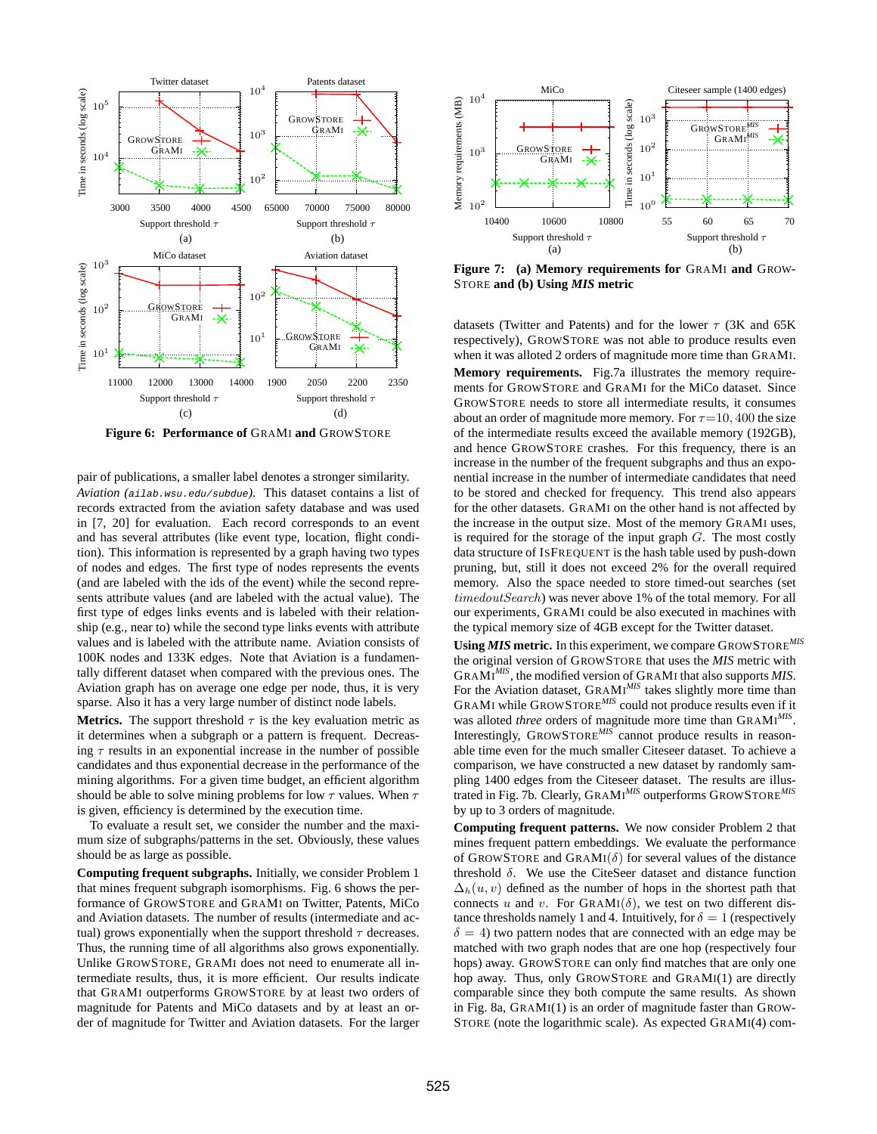

<span id="page-8-0"></span>**Figure 6: Performance of** GRAMI **and** GROWSTORE

pair of publications, a smaller label denotes a stronger similarity. *Aviation (*<ailab.wsu.edu/subdue>*).* This dataset contains a list of records extracted from the aviation safety database and was used in [\[7,](#page-11-24) [20\]](#page-11-10) for evaluation. Each record corresponds to an event and has several attributes (like event type, location, flight condition). This information is represented by a graph having two types of nodes and edges. The first type of nodes represents the events (and are labeled with the ids of the event) while the second represents attribute values (and are labeled with the actual value). The first type of edges links events and is labeled with their relationship (e.g., near to) while the second type links events with attribute values and is labeled with the attribute name. Aviation consists of 100K nodes and 133K edges. Note that Aviation is a fundamentally different dataset when compared with the previous ones. The Aviation graph has on average one edge per node, thus, it is very sparse. Also it has a very large number of distinct node labels.

**Metrics.** The support threshold  $\tau$  is the key evaluation metric as it determines when a subgraph or a pattern is frequent. Decreasing  $\tau$  results in an exponential increase in the number of possible candidates and thus exponential decrease in the performance of the mining algorithms. For a given time budget, an efficient algorithm should be able to solve mining problems for low  $\tau$  values. When  $\tau$ is given, efficiency is determined by the execution time.

To evaluate a result set, we consider the number and the maximum size of subgraphs/patterns in the set. Obviously, these values should be as large as possible.

**Computing frequent subgraphs.** Initially, we consider Problem [1](#page-2-1) that mines frequent subgraph isomorphisms. Fig. [6](#page-8-0) shows the performance of GROWSTORE and GRAMI on Twitter, Patents, MiCo and Aviation datasets. The number of results (intermediate and actual) grows exponentially when the support threshold  $\tau$  decreases. Thus, the running time of all algorithms also grows exponentially. Unlike GROWSTORE, GRAMI does not need to enumerate all intermediate results, thus, it is more efficient. Our results indicate that GRAMI outperforms GROWSTORE by at least two orders of magnitude for Patents and MiCo datasets and by at least an order of magnitude for Twitter and Aviation datasets. For the larger



<span id="page-8-1"></span>**Figure 7: (a) Memory requirements for** GRAMI **and** GROW-STORE **and (b) Using** *MIS* **metric**

datasets (Twitter and Patents) and for the lower  $\tau$  (3K and 65K respectively), GROWSTORE was not able to produce results even when it was alloted 2 orders of magnitude more time than GRAMI. **Memory requirements.** Fig[.7a](#page-8-1) illustrates the memory requirements for GROWSTORE and GRAMI for the MiCo dataset. Since GROWSTORE needs to store all intermediate results, it consumes about an order of magnitude more memory. For  $\tau$ =10, 400 the size of the intermediate results exceed the available memory (192GB), and hence GROWSTORE crashes. For this frequency, there is an increase in the number of the frequent subgraphs and thus an exponential increase in the number of intermediate candidates that need to be stored and checked for frequency. This trend also appears for the other datasets. GRAMI on the other hand is not affected by the increase in the output size. Most of the memory GRAMI uses, is required for the storage of the input graph  $G$ . The most costly data structure of ISFREQUENT is the hash table used by push-down pruning, but, still it does not exceed 2% for the overall required memory. Also the space needed to store timed-out searches (set timedoutSearch) was never above 1% of the total memory. For all our experiments, GRAMI could be also executed in machines with the typical memory size of 4GB except for the Twitter dataset.

**Using** *MIS* **metric.** In this experiment, we compare GROWSTORE*MIS* the original version of GROWSTORE that uses the *MIS* metric with GRAMI *MIS*, the modified version of GRAM<sup>I</sup> that also supports *MIS*. For the Aviation dataset, GRAMI<sup>MIS</sup> takes slightly more time than GRAM<sup>I</sup> while GROWSTORE*MIS* could not produce results even if it was alloted *three* orders of magnitude more time than GRAMI *MIS* . Interestingly, GROWSTORE*MIS* cannot produce results in reasonable time even for the much smaller Citeseer dataset. To achieve a comparison, we have constructed a new dataset by randomly sampling 1400 edges from the Citeseer dataset. The results are illustrated in Fig. [7b](#page-8-1). Clearly, GRAMI *MIS* outperforms GROWSTORE*MIS* by up to 3 orders of magnitude.

**Computing frequent patterns.** We now consider Problem [2](#page-2-5) that mines frequent pattern embeddings. We evaluate the performance of GROWSTORE and GRAMI $(\delta)$  for several values of the distance threshold  $\delta$ . We use the CiteSeer dataset and distance function  $\Delta_h(u, v)$  defined as the number of hops in the shortest path that connects u and v. For  $\text{GRAMI}(\delta)$ , we test on two different distance thresholds namely 1 and 4. Intuitively, for  $\delta = 1$  (respectively  $\delta = 4$ ) two pattern nodes that are connected with an edge may be matched with two graph nodes that are one hop (respectively four hops) away. GROWSTORE can only find matches that are only one hop away. Thus, only GROWSTORE and GRAMI(1) are directly comparable since they both compute the same results. As shown in Fig. [8a](#page-9-0), GRAMI(1) is an order of magnitude faster than GROW-STORE (note the logarithmic scale). As expected GRAMI(4) com-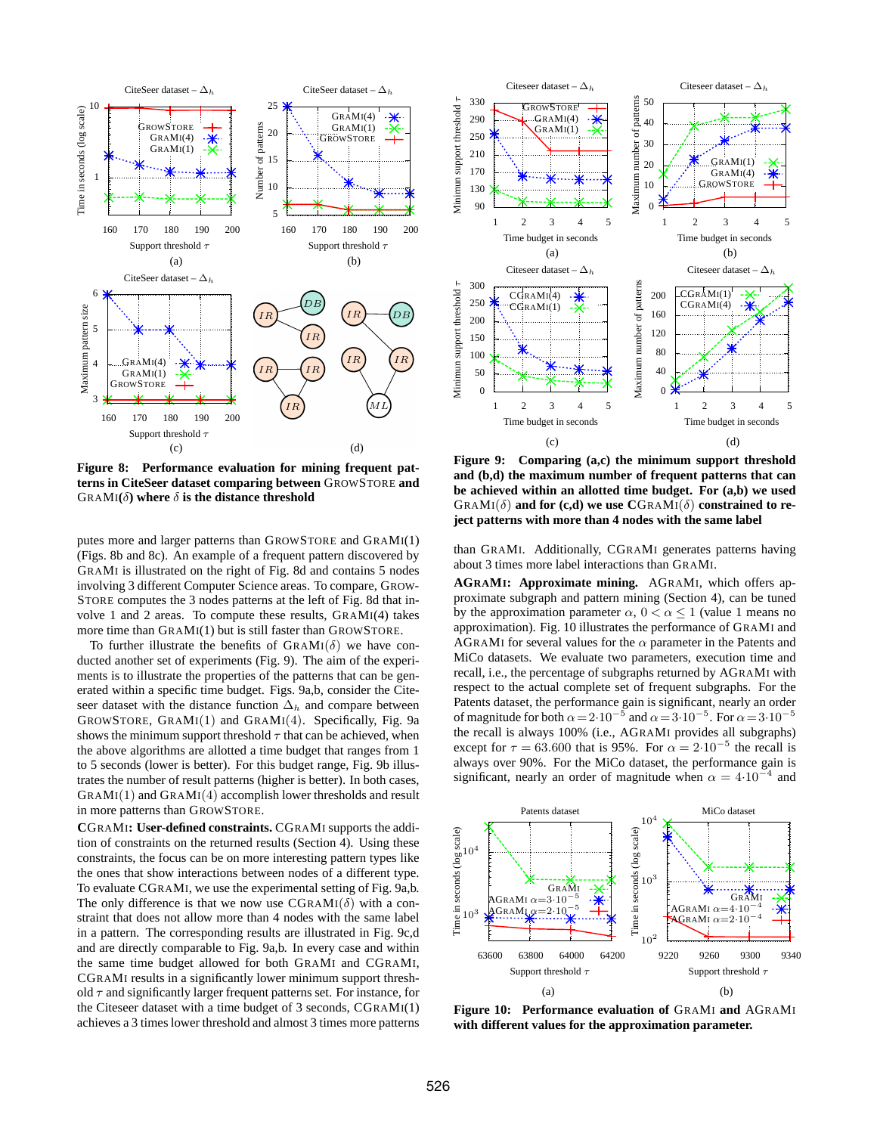

<span id="page-9-0"></span>**Figure 8: Performance evaluation for mining frequent patterns in CiteSeer dataset comparing between** GROWSTORE **and** GRAMI $(\delta)$  where  $\delta$  is the distance threshold

putes more and larger patterns than GROWSTORE and GRAMI(1) (Figs. [8b](#page-9-0) and [8c](#page-9-0)). An example of a frequent pattern discovered by GRAMI is illustrated on the right of Fig. [8d](#page-9-0) and contains 5 nodes involving 3 different Computer Science areas. To compare, GROW-STORE computes the 3 nodes patterns at the left of Fig. [8d](#page-9-0) that involve 1 and 2 areas. To compute these results, GRAMI(4) takes more time than GRAMI(1) but is still faster than GROWSTORE.

To further illustrate the benefits of  $GRAMI(\delta)$  we have conducted another set of experiments (Fig. [9\)](#page-9-1). The aim of the experiments is to illustrate the properties of the patterns that can be generated within a specific time budget. Figs. [9a](#page-9-1),b, consider the Citeseer dataset with the distance function  $\Delta_h$  and compare between GROWSTORE,  $GRAMI(1)$  and  $GRAMI(4)$ . Specifically, Fig. [9a](#page-9-1) shows the minimum support threshold  $\tau$  that can be achieved, when the above algorithms are allotted a time budget that ranges from 1 to 5 seconds (lower is better). For this budget range, Fig. [9b](#page-9-1) illustrates the number of result patterns (higher is better). In both cases,  $GRAMI(1)$  and  $GRAMI(4)$  accomplish lower thresholds and result in more patterns than GROWSTORE.

**C**GRAMI**: User-defined constraints.** CGRAMI supports the addition of constraints on the returned results (Section [4\)](#page-7-2). Using these constraints, the focus can be on more interesting pattern types like the ones that show interactions between nodes of a different type. To evaluate CGRAMI, we use the experimental setting of Fig. [9a](#page-9-1),b. The only difference is that we now use  $CGRAMI(\delta)$  with a constraint that does not allow more than 4 nodes with the same label in a pattern. The corresponding results are illustrated in Fig. [9c](#page-9-1),d and are directly comparable to Fig. [9a](#page-9-1),b. In every case and within the same time budget allowed for both GRAMI and CGRAMI, CGRAMI results in a significantly lower minimum support threshold  $\tau$  and significantly larger frequent patterns set. For instance, for the Citeseer dataset with a time budget of 3 seconds, CGRAMI(1) achieves a 3 times lower threshold and almost 3 times more patterns



<span id="page-9-1"></span>**Figure 9: Comparing (a,c) the minimum support threshold and (b,d) the maximum number of frequent patterns that can be achieved within an allotted time budget. For (a,b) we used**  $GRAMI(\delta)$  and for  $(c,d)$  we use  $CGRAM(\delta)$  constrained to re**ject patterns with more than 4 nodes with the same label**

than GRAMI. Additionally, CGRAMI generates patterns having about 3 times more label interactions than GRAMI.

**AGRAMI: Approximate mining.** AGRAMI, which offers approximate subgraph and pattern mining (Section [4\)](#page-7-2), can be tuned by the approximation parameter  $\alpha$ ,  $0 < \alpha \leq 1$  (value 1 means no approximation). Fig. [10](#page-9-2) illustrates the performance of GRAMI and AGRAMI for several values for the  $\alpha$  parameter in the Patents and MiCo datasets. We evaluate two parameters, execution time and recall, i.e., the percentage of subgraphs returned by AGRAMI with respect to the actual complete set of frequent subgraphs. For the Patents dataset, the performance gain is significant, nearly an order of magnitude for both  $\alpha = 2.10^{-5}$  and  $\alpha = 3.10^{-5}$ . For  $\alpha = 3.10^{-5}$ the recall is always 100% (i.e., AGRAMI provides all subgraphs) except for  $\tau = 63.600$  that is 95%. For  $\alpha = 2.10^{-5}$  the recall is always over 90%. For the MiCo dataset, the performance gain is significant, nearly an order of magnitude when  $\alpha = 4 \cdot 10^{-4}$  and



<span id="page-9-2"></span>**Figure 10: Performance evaluation of** GRAMI **and** AGRAMI **with different values for the approximation parameter.**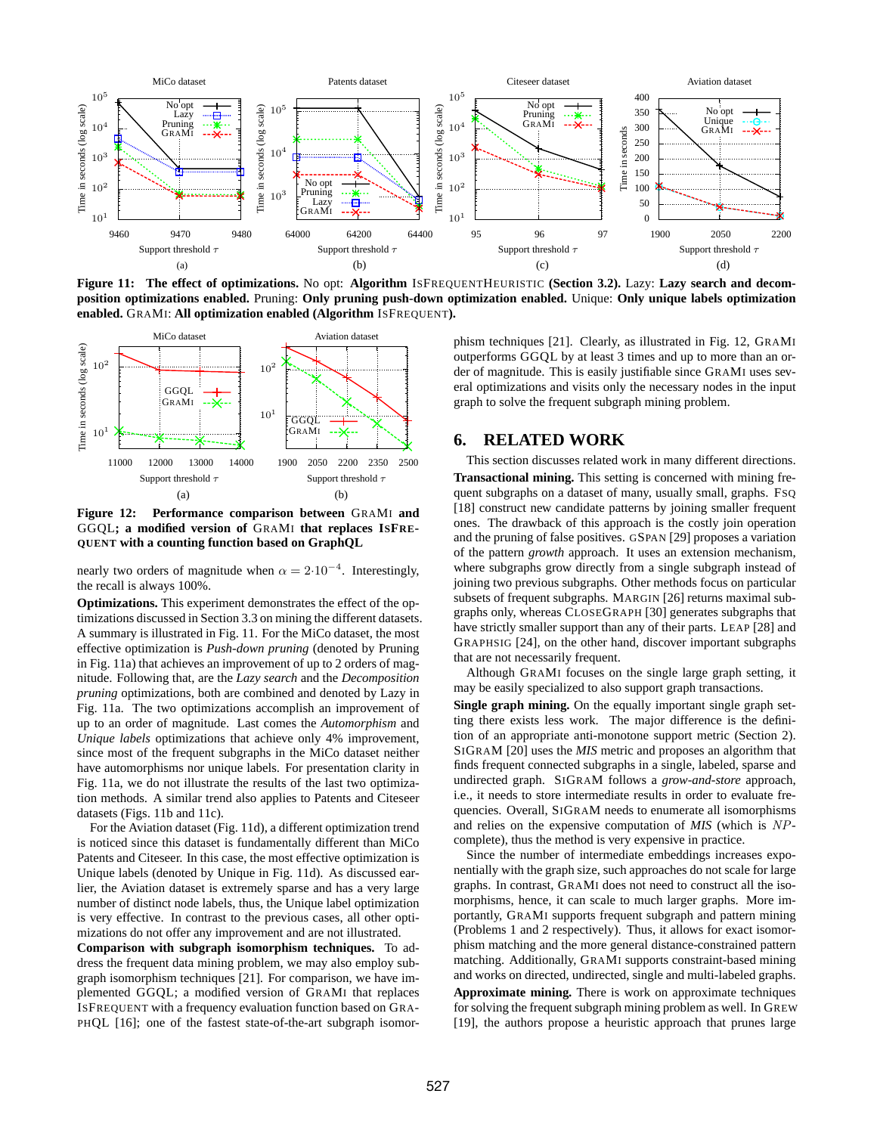

<span id="page-10-1"></span>**Figure 11: The effect of optimizations.** No opt: **Algorithm** ISFREQUENTHEURISTIC **(Section [3.2\)](#page-3-0).** Lazy: **Lazy search and decomposition optimizations enabled.** Pruning: **Only pruning push-down optimization enabled.** Unique: **Only unique labels optimization enabled.** GRAMI: **All optimization enabled (Algorithm** ISFREQUENT**).**



<span id="page-10-2"></span>**Figure 12: Performance comparison between** GRAMI **and** GGQL**; a modified version of** GRAMI **that replaces ISFRE-QUENT with a counting function based on GraphQL**

nearly two orders of magnitude when  $\alpha = 2 \cdot 10^{-4}$ . Interestingly, the recall is always 100%.

**Optimizations.** This experiment demonstrates the effect of the optimizations discussed in Section [3.3](#page-4-0) on mining the different datasets. A summary is illustrated in Fig. [11.](#page-10-1) For the MiCo dataset, the most effective optimization is *Push-down pruning* (denoted by Pruning in Fig. [11a](#page-10-1)) that achieves an improvement of up to 2 orders of magnitude. Following that, are the *Lazy search* and the *Decomposition pruning* optimizations, both are combined and denoted by Lazy in Fig. [11a](#page-10-1). The two optimizations accomplish an improvement of up to an order of magnitude. Last comes the *Automorphism* and *Unique labels* optimizations that achieve only 4% improvement, since most of the frequent subgraphs in the MiCo dataset neither have automorphisms nor unique labels. For presentation clarity in Fig. [11a](#page-10-1), we do not illustrate the results of the last two optimization methods. A similar trend also applies to Patents and Citeseer datasets (Figs. [11b](#page-10-1) and [11c](#page-10-1)).

For the Aviation dataset (Fig. [11d](#page-10-1)), a different optimization trend is noticed since this dataset is fundamentally different than MiCo Patents and Citeseer. In this case, the most effective optimization is Unique labels (denoted by Unique in Fig. [11d](#page-10-1)). As discussed earlier, the Aviation dataset is extremely sparse and has a very large number of distinct node labels, thus, the Unique label optimization is very effective. In contrast to the previous cases, all other optimizations do not offer any improvement and are not illustrated.

**Comparison with subgraph isomorphism techniques.** To address the frequent data mining problem, we may also employ subgraph isomorphism techniques [\[21\]](#page-11-25). For comparison, we have implemented GGQL; a modified version of GRAMI that replaces ISFREQUENT with a frequency evaluation function based on GRA-PHQL [\[16\]](#page-11-12); one of the fastest state-of-the-art subgraph isomorphism techniques [\[21\]](#page-11-25). Clearly, as illustrated in Fig. [12,](#page-10-2) GRAMI outperforms GGQL by at least 3 times and up to more than an order of magnitude. This is easily justifiable since GRAMI uses several optimizations and visits only the necessary nodes in the input graph to solve the frequent subgraph mining problem.

# <span id="page-10-0"></span>**6. RELATED WORK**

This section discusses related work in many different directions. **Transactional mining.** This setting is concerned with mining frequent subgraphs on a dataset of many, usually small, graphs. FSQ [\[18\]](#page-11-6) construct new candidate patterns by joining smaller frequent ones. The drawback of this approach is the costly join operation and the pruning of false positives. GSPAN [\[29\]](#page-11-7) proposes a variation of the pattern *growth* approach. It uses an extension mechanism, where subgraphs grow directly from a single subgraph instead of joining two previous subgraphs. Other methods focus on particular subsets of frequent subgraphs. MARGIN [\[26\]](#page-11-26) returns maximal subgraphs only, whereas CLOSEGRAPH [\[30\]](#page-11-27) generates subgraphs that have strictly smaller support than any of their parts. LEAP [\[28\]](#page-11-28) and GRAPHSIG [\[24\]](#page-11-29), on the other hand, discover important subgraphs that are not necessarily frequent.

Although GRAMI focuses on the single large graph setting, it may be easily specialized to also support graph transactions.

**Single graph mining.** On the equally important single graph setting there exists less work. The major difference is the definition of an appropriate anti-monotone support metric (Section [2\)](#page-1-1). SIGRAM [\[20\]](#page-11-10) uses the *MIS* metric and proposes an algorithm that finds frequent connected subgraphs in a single, labeled, sparse and undirected graph. SIGRAM follows a *grow-and-store* approach, i.e., it needs to store intermediate results in order to evaluate frequencies. Overall, SIGRAM needs to enumerate all isomorphisms and relies on the expensive computation of *MIS* (which is NPcomplete), thus the method is very expensive in practice.

Since the number of intermediate embeddings increases exponentially with the graph size, such approaches do not scale for large graphs. In contrast, GRAMI does not need to construct all the isomorphisms, hence, it can scale to much larger graphs. More importantly, GRAMI supports frequent subgraph and pattern mining (Problems [1](#page-2-1) and [2](#page-2-5) respectively). Thus, it allows for exact isomorphism matching and the more general distance-constrained pattern matching. Additionally, GRAMI supports constraint-based mining and works on directed, undirected, single and multi-labeled graphs.

**Approximate mining.** There is work on approximate techniques for solving the frequent subgraph mining problem as well. In GREW [\[19\]](#page-11-9), the authors propose a heuristic approach that prunes large